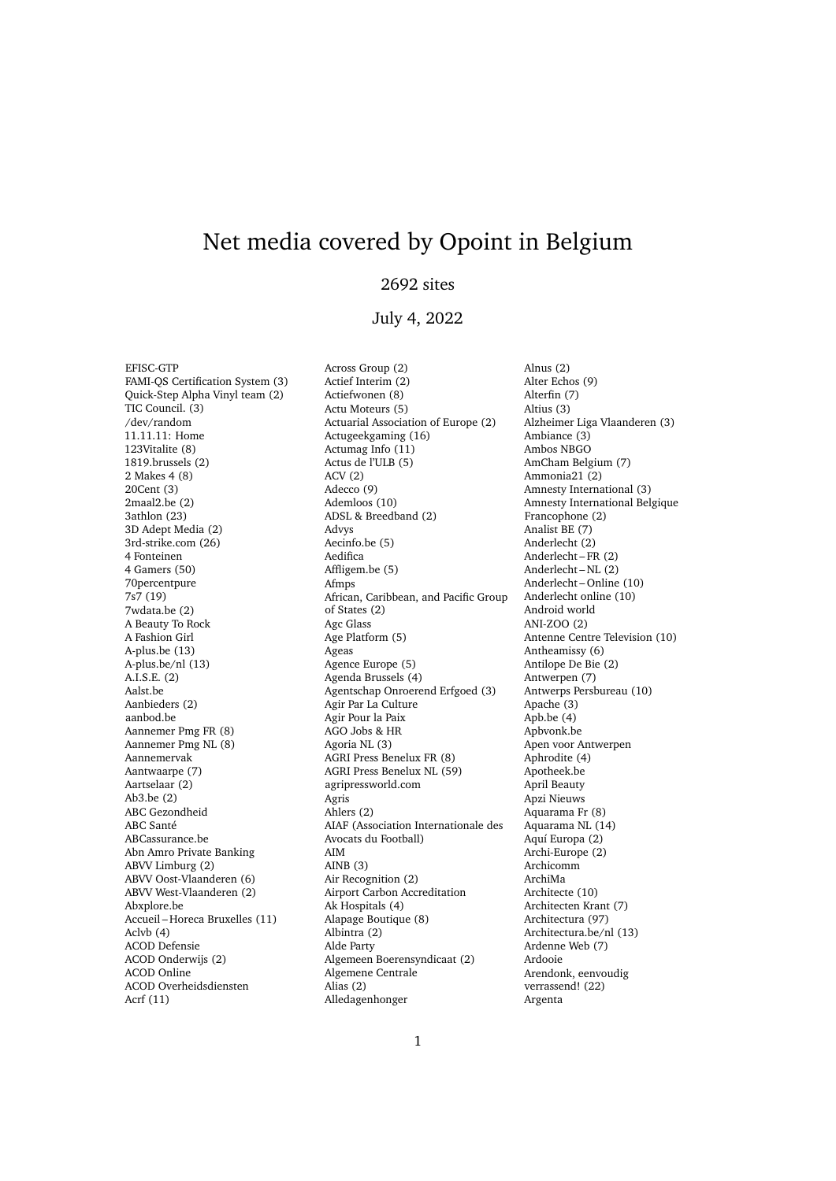# Net media covered by Opoint in Belgium

## 2692 sites

### July 4, 2022

EFISC-GTP FAMI-QS Certification System (3) Quick-Step Alpha Vinyl team (2) TIC Council. (3) /dev/random 11.11.11: Home 123Vitalite (8) 1819.brussels (2) 2 Makes 4 (8) 20Cent (3) 2maal2.be (2) 3athlon (23) 3D Adept Media (2) 3rd-strike.com (26) 4 Fonteinen 4 Gamers (50) 70percentpure 7s7 (19) 7wdata.be (2) A Beauty To Rock A Fashion Girl A-plus.be (13) A-plus.be/nl (13) A.I.S.E. (2) Aalst.be Aanbieders (2) aanbod.be Aannemer Pmg FR (8) Aannemer Pmg NL (8) Aannemervak Aantwaarpe (7) Aartselaar (2) Ab3.be (2) ABC Gezondheid ABC Santé ABCassurance.be Abn Amro Private Banking ABVV Limburg (2) ABVV Oost-Vlaanderen (6) ABVV West-Vlaanderen (2) Abxplore.be Accueil – Horeca Bruxelles (11) Aclvb (4) ACOD Defensie ACOD Onderwijs (2) ACOD Online ACOD Overheidsdiensten Acrf (11)

Across Group (2) Actief Interim (2) Actiefwonen (8) Actu Moteurs (5) Actuarial Association of Europe (2) Actugeekgaming (16) Actumag Info (11) Actus de l'ULB (5) ACV (2) Adecco (9) Ademloos (10) ADSL & Breedband (2) Advys Aecinfo.be (5) Aedifica Affligem.be (5) Afmps African, Caribbean, and Pacific Group of States (2) Agc Glass Age Platform (5) Ageas Agence Europe (5) Agenda Brussels (4) Agentschap Onroerend Erfgoed (3) Agir Par La Culture Agir Pour la Paix AGO Jobs & HR Agoria NL (3) AGRI Press Benelux FR (8) AGRI Press Benelux NL (59) agripressworld.com Agris Ahlers (2) AIAF (Association Internationale des Avocats du Football) AIM AINB (3) Air Recognition (2) Airport Carbon Accreditation Ak Hospitals (4) Alapage Boutique (8) Albintra (2) Alde Party Algemeen Boerensyndicaat (2) Algemene Centrale Alias (2) Alledagenhonger

Alnus (2) Alter Echos (9) Alterfin (7) Altius (3) Alzheimer Liga Vlaanderen (3) Ambiance (3) Ambos NBGO AmCham Belgium (7) Ammonia21 (2) Amnesty International (3) Amnesty International Belgique Francophone (2) Analist BE (7) Anderlecht (2) Anderlecht – FR (2) Anderlecht – NL (2) Anderlecht – Online (10) Anderlecht online (10) Android world ANI-ZOO (2) Antenne Centre Television (10) Antheamissy (6) Antilope De Bie (2) Antwerpen (7) Antwerps Persbureau (10) Apache (3) Apb.be (4) Apbvonk.be Apen voor Antwerpen Aphrodite (4) Apotheek.be April Beauty Apzi Nieuws Aquarama Fr (8) Aquarama NL (14) Aquí Europa (2) Archi-Europe (2) Archicomm ArchiMa Architecte (10) Architecten Krant (7) Architectura (97) Architectura.be/nl (13) Ardenne Web (7) Ardooie Arendonk, eenvoudig verrassend! (22) Argenta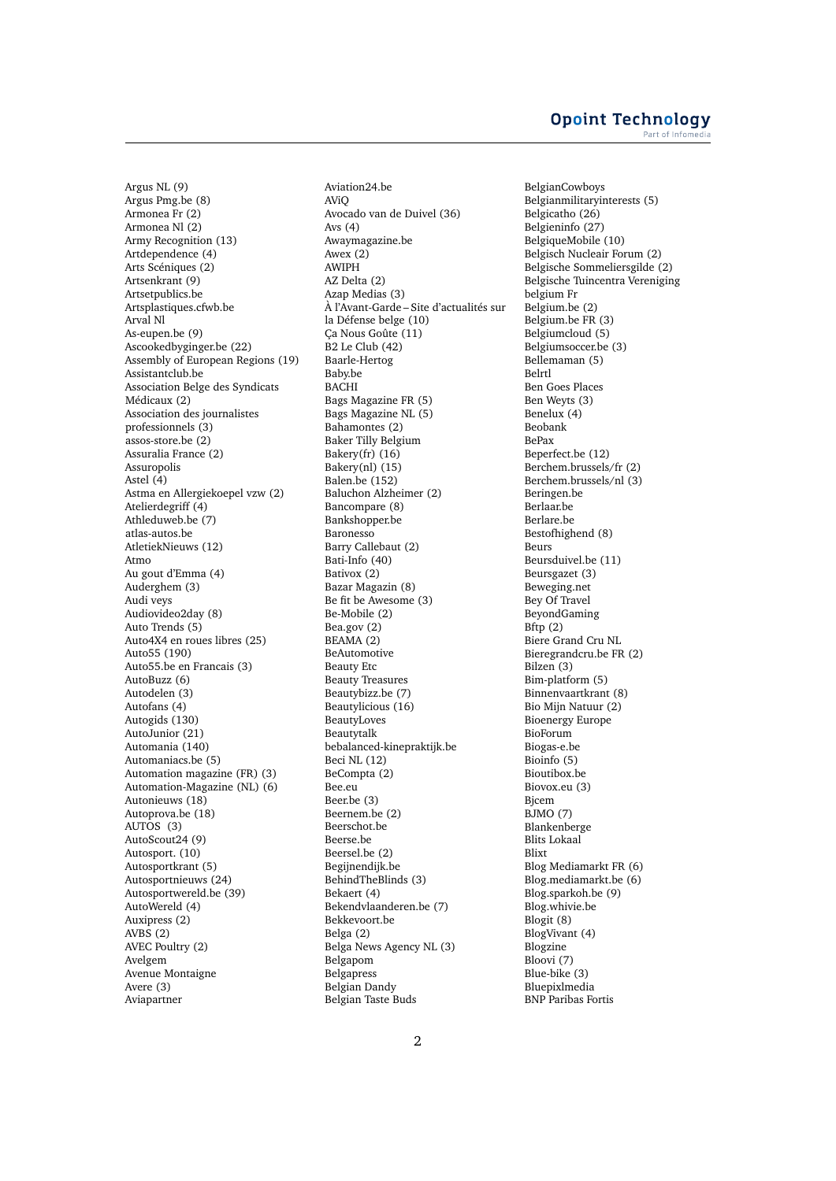#### **Opoint Technology** Part of Infomer

Argus NL (9) Argus Pmg.be (8) Armonea Fr (2) Armonea Nl (2) Army Recognition (13) Artdependence (4) Arts Scéniques (2) Artsenkrant (9) Artsetpublics.be Artsplastiques.cfwb.be Arval Nl As-eupen.be (9) Ascookedbyginger.be (22) Assembly of European Regions (19) Assistantclub.be Association Belge des Syndicats Médicaux (2) Association des journalistes professionnels (3) assos-store.be (2) Assuralia France (2) Assuropolis Astel  $(4)$ Astma en Allergiekoepel vzw (2) Atelierdegriff (4) Athleduweb.be (7) atlas-autos.be AtletiekNieuws (12) Atmo Au gout d'Emma (4) Auderghem (3) Audi veys Audiovideo2day (8) Auto Trends (5) Auto4X4 en roues libres (25) Auto55 (190) Auto55.be en Francais (3) AutoBuzz (6) Autodelen (3) Autofans (4) Autogids (130) AutoJunior (21) Automania (140) Automaniacs.be (5) Automation magazine (FR) (3) Automation-Magazine (NL) (6) Autonieuws (18) Autoprova.be (18) AUTOS (3) AutoScout24 (9) Autosport. (10) Autosportkrant (5) Autosportnieuws (24) Autosportwereld.be (39) AutoWereld (4) Auxipress (2) AVBS (2) AVEC Poultry (2) Avelgem Avenue Montaigne Avere (3) Aviapartner

Aviation24.be AViQ Avocado van de Duivel (36) Avs (4) Awaymagazine.be Awex (2) AWIPH AZ Delta (2) Azap Medias (3) À l'Avant-Garde – Site d'actualités sur la Défense belge (10) Ça Nous Goûte (11) B2 Le Club (42) Baarle-Hertog Baby.be BACHI Bags Magazine FR (5) Bags Magazine NL (5) Bahamontes (2) Baker Tilly Belgium Bakery(fr)  $(16)$ Bakery(nl) (15) Balen.be (152) Baluchon Alzheimer (2) Bancompare (8) Bankshopper.be Baronesso Barry Callebaut (2) Bati-Info (40) Bativox (2) Bazar Magazin (8) Be fit be Awesome (3) Be-Mobile (2) Bea.gov (2) BEAMA (2) BeAutomotive Beauty Etc Beauty Treasures Beautybizz.be (7) Beautylicious (16) BeautyLoves Beautytalk bebalanced-kinepraktijk.be Beci NL (12) BeCompta (2) Bee.eu Beer.be (3) Beernem.be (2) Beerschot.be Beerse.be Beersel.be (2) Begijnendijk.be BehindTheBlinds (3) Bekaert (4) Bekendvlaanderen.be (7) Bekkevoort.be Belga (2) Belga News Agency NL (3) Belgapom **Belgapress** Belgian Dandy Belgian Taste Buds

BelgianCowboys Belgianmilitaryinterests (5) Belgicatho (26) Belgieninfo (27) BelgiqueMobile (10) Belgisch Nucleair Forum (2) Belgische Sommeliersgilde (2) Belgische Tuincentra Vereniging belgium Fr Belgium.be (2) Belgium.be FR (3) Belgiumcloud (5) Belgiumsoccer.be (3) Bellemaman (5) Belrtl Ben Goes Places Ben Weyts (3) Benelux (4) Beobank BePax Beperfect.be (12) Berchem.brussels/fr (2) Berchem.brussels/nl (3) Beringen.be Berlaar.be Berlare.be Bestofhighend (8) Beurs Beursduivel.be (11) Beursgazet (3) Beweging.net Bey Of Travel BeyondGaming  $B$ ftp  $(2)$ Biere Grand Cru NL Bieregrandcru.be FR (2) Bilzen (3) Bim-platform (5) Binnenvaartkrant (8) Bio Mijn Natuur (2) Bioenergy Europe BioForum Biogas-e.be Bioinfo (5) Bioutibox.be Biovox.eu (3) Bjcem BJMO (7) Blankenberge Blits Lokaal Blixt Blog Mediamarkt FR (6) Blog.mediamarkt.be (6) Blog.sparkoh.be (9) Blog.whivie.be Blogit (8) BlogVivant (4) Blogzine Bloovi (7) Blue-bike (3) Bluepixlmedia BNP Paribas Fortis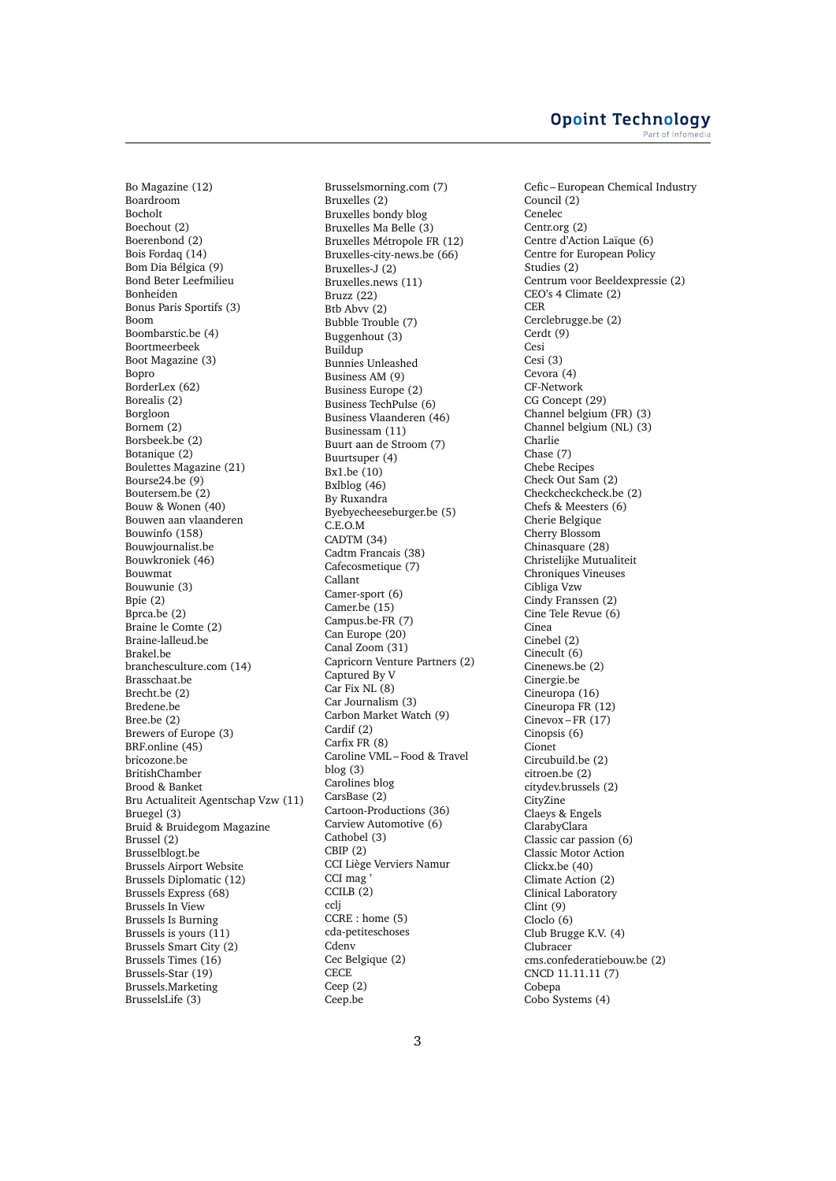Bo Magazine (12) Boardroom Bocholt Boechout (2) Boerenbond (2) Bois Fordaq (14) Bom Dia Bélgica (9) Bond Beter Leefmilieu Bonheiden Bonus Paris Sportifs (3) Boom Boombarstic.be (4) Boortmeerbeek Boot Magazine (3) Bopro BorderLex (62) Borealis (2) Borgloon Bornem (2) Borsbeek.be (2) Botanique (2) Boulettes Magazine (21) Bourse24.be (9) Boutersem.be (2) Bouw & Wonen (40) Bouwen aan vlaanderen Bouwinfo (158) Bouwjournalist.be Bouwkroniek (46) Bouwmat Bouwunie (3) Bpie (2) Bprca.be (2) Braine le Comte (2) Braine-lalleud.be Brakel.be branchesculture.com (14) Brasschaat.be Brecht.be (2) Bredene.be Bree.be (2) Brewers of Europe (3) BRF.online (45) bricozone.be BritishChamber Brood & Banket Bru Actualiteit Agentschap Vzw (11) Bruegel (3) Bruid & Bruidegom Magazine Brussel (2) Brusselblogt.be Brussels Airport Website Brussels Diplomatic (12) Brussels Express (68) Brussels In View Brussels Is Burning Brussels is yours (11) Brussels Smart City (2) Brussels Times (16) Brussels-Star (19) Brussels.Marketing BrusselsLife (3)

Brusselsmorning.com (7) Bruxelles (2) Bruxelles bondy blog Bruxelles Ma Belle (3) Bruxelles Métropole FR (12) Bruxelles-city-news.be (66) Bruxelles-J (2) Bruxelles.news (11) Bruzz (22) Btb Abvv (2) Bubble Trouble (7) Buggenhout (3) Buildup Bunnies Unleashed Business AM (9) Business Europe (2) Business TechPulse (6) Business Vlaanderen (46) Businessam (11) Buurt aan de Stroom (7) Buurtsuper (4) Bx1.be (10) Bxlblog (46) By Ruxandra Byebyecheeseburger.be (5) C.E.O.M CADTM (34) Cadtm Francais (38) Cafecosmetique (7) Callant Camer-sport (6) Camer.be (15) Campus.be-FR (7) Can Europe (20) Canal Zoom (31) Capricorn Venture Partners (2) Captured By V Car Fix NL (8) Car Journalism (3) Carbon Market Watch (9) Cardif (2) Carfix FR (8) Caroline VML – Food & Travel blog (3) Carolines blog CarsBase (2) Cartoon-Productions (36) Carview Automotive (6) Cathobel (3) CBIP (2) CCI Liège Verviers Namur CCI mag ' CCILB (2) ccli CCRE : home (5) cda-petiteschoses **Cdenv** Cec Belgique (2) **CECE** Ceep (2) Ceep.be

Cefic – European Chemical Industry Council (2) Cenelec Centr.org (2) Centre d'Action Laïque (6) Centre for European Policy Studies (2) Centrum voor Beeldexpressie (2) CEO's 4 Climate (2) CER Cerclebrugge.be (2) Cerdt (9) Cesi Cesi (3) Cevora (4) CF-Network CG Concept (29) Channel belgium (FR) (3) Channel belgium (NL) (3) Charlie Chase (7) Chebe Recipes Check Out Sam (2) Checkcheckcheck.be (2) Chefs & Meesters (6) Cherie Belgique Cherry Blossom Chinasquare (28) Christelijke Mutualiteit Chroniques Vineuses Cibliga Vzw Cindy Franssen (2) Cine Tele Revue (6) Cinea Cinebel (2) Cinecult (6) Cinenews.be (2) Cinergie.be Cineuropa (16) Cineuropa FR (12) Cinevox – FR (17) Cinopsis (6) Cionet Circubuild.be (2) citroen.be (2) citydev.brussels (2) **CityZine** Claeys & Engels ClarabyClara Classic car passion (6) Classic Motor Action Clickx.be (40) Climate Action (2) Clinical Laboratory Clint (9) Cloclo (6) Club Brugge K.V. (4) Clubracer cms.confederatiebouw.be (2) CNCD 11.11.11 (7) Cobepa Cobo Systems (4)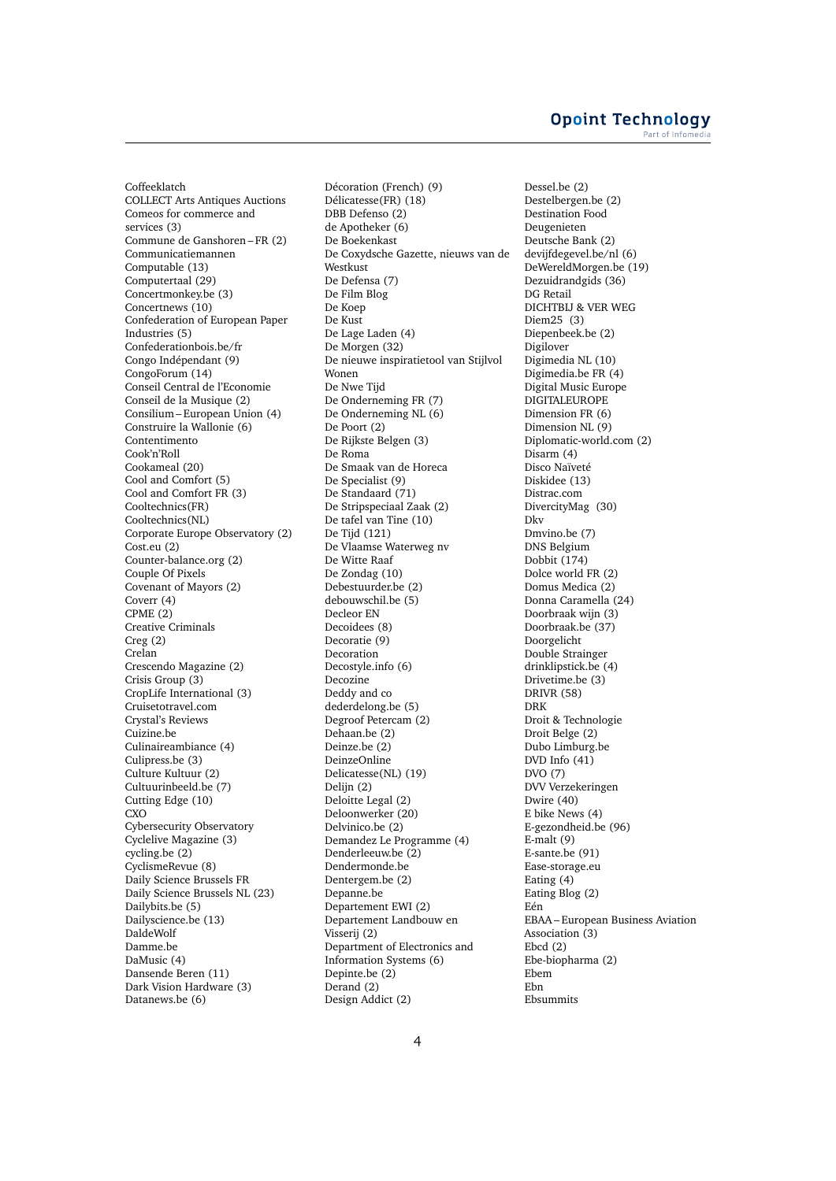Coffeeklatch COLLECT Arts Antiques Auctions Comeos for commerce and services (3) Commune de Ganshoren – FR (2) Communicatiemannen Computable (13) Computertaal (29) Concertmonkey.be (3) Concertnews (10) Confederation of European Paper Industries (5) Confederationbois.be/fr Congo Indépendant (9) CongoForum (14) Conseil Central de l'Economie Conseil de la Musique (2) Consilium – European Union (4) Construire la Wallonie (6) Contentimento Cook'n'Roll Cookameal (20) Cool and Comfort (5) Cool and Comfort FR (3) Cooltechnics(FR) Cooltechnics(NL) Corporate Europe Observatory (2) Cost.eu (2) Counter-balance.org (2) Couple Of Pixels Covenant of Mayors (2) Coverr (4) CPME (2) Creative Criminals Creg (2) Crelan Crescendo Magazine (2) Crisis Group (3) CropLife International (3) Cruisetotravel.com Crystal's Reviews Cuizine.be Culinaireambiance (4) Culipress.be (3) Culture Kultuur (2) Cultuurinbeeld.be (7) Cutting Edge (10) **CXO** Cybersecurity Observatory Cyclelive Magazine (3) cycling.be (2) CyclismeRevue (8) Daily Science Brussels FR Daily Science Brussels NL (23) Dailybits.be (5) Dailyscience.be (13) DaldeWolf Damme.be DaMusic (4) Dansende Beren (11) Dark Vision Hardware (3) Datanews.be (6)

Décoration (French) (9) Délicatesse(FR) (18) DBB Defenso (2) de Apotheker (6) De Boekenkast De Coxydsche Gazette, nieuws van de Westkust De Defensa (7) De Film Blog De Koep De Kust De Lage Laden (4) De Morgen (32) De nieuwe inspiratietool van Stijlvol Wonen De Nwe Tijd De Onderneming FR (7) De Onderneming NL (6) De Poort (2) De Rijkste Belgen (3) De Roma De Smaak van de Horeca De Specialist (9) De Standaard (71) De Stripspeciaal Zaak (2) De tafel van Tine (10) De Tijd (121) De Vlaamse Waterweg nv De Witte Raaf De Zondag (10) Debestuurder.be (2) debouwschil.be (5) Decleor EN Decoidees (8) Decoratie (9) Decoration Decostyle.info (6) Decozine Deddy and co dederdelong.be (5) Degroof Petercam (2) Dehaan.be (2) Deinze.be (2) DeinzeOnline Delicatesse(NL) (19) Delijn (2) Deloitte Legal (2) Deloonwerker (20) Delvinico.be (2) Demandez Le Programme (4) Denderleeuw.be (2) Dendermonde.be Dentergem.be (2) Depanne.be Departement EWI (2) Departement Landbouw en Visserij (2) Department of Electronics and Information Systems (6) Depinte.be (2) Derand (2) Design Addict (2)

Dessel.be (2) Destelbergen.be (2) Destination Food Deugenieten Deutsche Bank (2) devijfdegevel.be/nl (6) DeWereldMorgen.be (19) Dezuidrandgids (36) DG Retail DICHTBIJ & VER WEG Diem25 (3) Diepenbeek.be (2) Digilover Digimedia NL (10) Digimedia.be FR (4) Digital Music Europe DIGITALEUROPE Dimension FR (6) Dimension NL (9) Diplomatic-world.com (2) Disarm (4) Disco Naïveté Diskidee (13) Distrac.com DivercityMag (30) Dkv Dmvino.be (7) DNS Belgium Dobbit (174) Dolce world FR (2) Domus Medica (2) Donna Caramella (24) Doorbraak wijn (3) Doorbraak.be (37) Doorgelicht Double Strainger drinklipstick.be (4) Drivetime.be (3) DRIVR (58) DRK Droit & Technologie Droit Belge (2) Dubo Limburg.be DVD Info (41) DVO (7) DVV Verzekeringen Dwire (40) E bike News (4) E-gezondheid.be (96) E-malt (9) E-sante.be (91) Ease-storage.eu Eating (4) Eating Blog (2) Eén EBAA – European Business Aviation Association (3) Ebcd (2) Ebe-biopharma (2) Ebem Ebn Ebsummits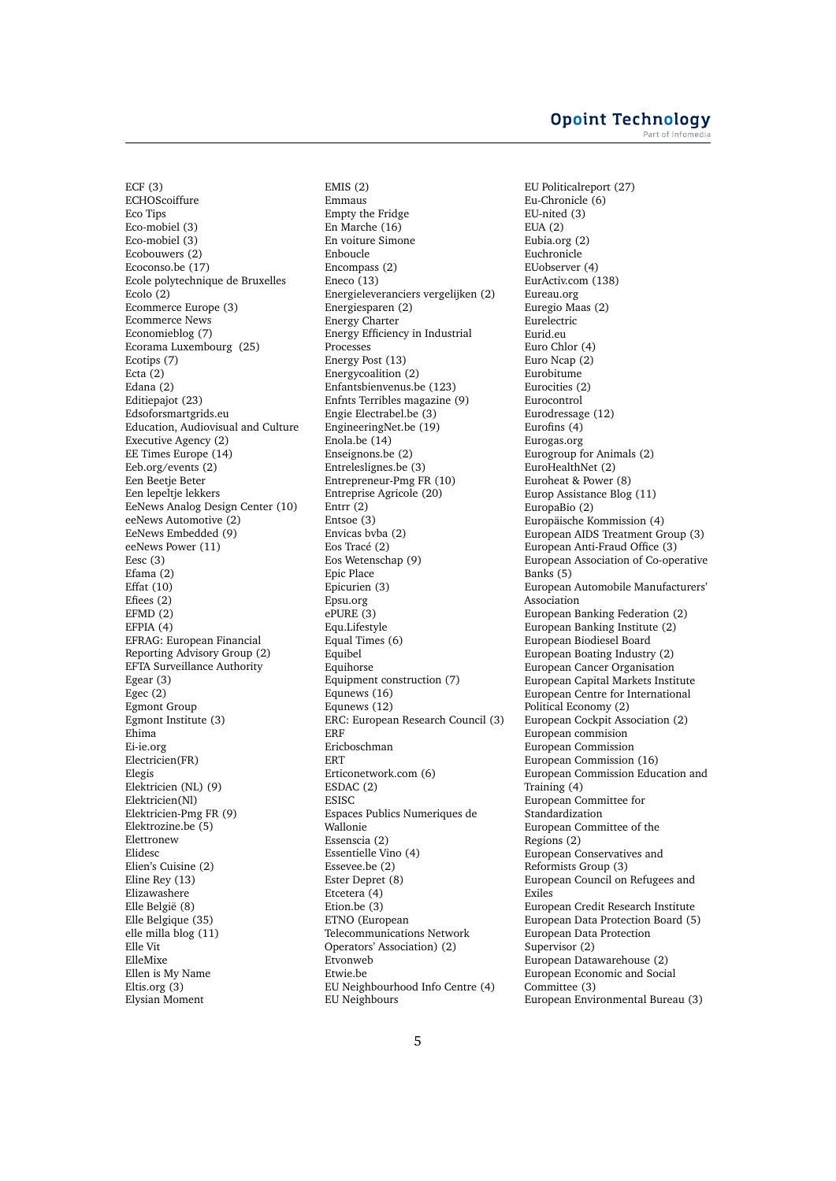ECF (3) ECHOScoiffure Eco Tips Eco-mobiel (3) Eco-mobiel (3) Ecobouwers (2) Ecoconso.be (17) Ecole polytechnique de Bruxelles Ecolo (2) Ecommerce Europe (3) Ecommerce News Economieblog (7) Ecorama Luxembourg (25) Ecotips (7) Ecta $(2)$ Edana (2) Editiepajot (23) Edsoforsmartgrids.eu Education, Audiovisual and Culture Executive Agency (2) EE Times Europe (14) Eeb.org/events (2) Een Beetje Beter Een lepeltje lekkers EeNews Analog Design Center (10) eeNews Automotive (2) EeNews Embedded (9) eeNews Power (11) Eesc (3) Efama (2) Effat (10) Efiees (2) EFMD (2) EFPIA (4) EFRAG: European Financial Reporting Advisory Group (2) EFTA Surveillance Authority Egear (3) Egec $(2)$ Egmont Group Egmont Institute (3) Ehima Ei-ie.org Electricien(FR) Elegis Elektricien (NL) (9) Elektricien(Nl) Elektricien-Pmg FR (9) Elektrozine.be (5) Elettronew Elidesc Elien's Cuisine (2) Eline Rey (13) Elizawashere Elle België (8) Elle Belgique (35) elle milla blog (11) Elle Vit ElleMixe Ellen is My Name Eltis.org (3) Elysian Moment

EMIS (2) Emmaus Empty the Fridge En Marche (16) En voiture Simone Enboucle Encompass (2) Eneco  $(13)$ Energieleveranciers vergelijken (2) Energiesparen (2) Energy Charter Energy Efficiency in Industrial Processes Energy Post (13) Energycoalition (2) Enfantsbienvenus.be (123) Enfnts Terribles magazine (9) Engie Electrabel.be (3) EngineeringNet.be (19) Enola.be (14) Enseignons.be (2) Entreleslignes.be (3) Entrepreneur-Pmg FR (10) Entreprise Agricole (20) Entrr (2) Entsoe (3) Envicas bvba (2) Eos Tracé (2) Eos Wetenschap (9) Epic Place Epicurien (3) Epsu.org ePURE (3) Equ.Lifestyle Equal Times (6) Equibel Equihorse Equipment construction (7) Equnews (16) Equnews (12) ERC: European Research Council (3) ERF Ericboschman ERT Erticonetwork.com (6) ESDAC (2) ESISC Espaces Publics Numeriques de Wallonie Essenscia (2) Essentielle Vino (4) Essevee.be (2) Ester Depret (8) Etcetera (4) Etion.be (3) ETNO (European Telecommunications Network Operators' Association) (2) Etvonweb Etwie.be EU Neighbourhood Info Centre (4) EU Neighbours

EU Politicalreport (27) Eu-Chronicle (6) EU-nited (3) EUA (2) Eubia.org (2) Euchronicle EUobserver (4) EurActiv.com (138) Eureau.org Euregio Maas (2) Eurelectric Eurid.eu Euro Chlor (4) Euro Ncap (2) Eurobitume Eurocities (2) Eurocontrol Eurodressage (12) Eurofins (4) Eurogas.org Eurogroup for Animals (2) EuroHealthNet (2) Euroheat & Power (8) Europ Assistance Blog (11) EuropaBio (2) Europäische Kommission (4) European AIDS Treatment Group (3) European Anti-Fraud Office (3) European Association of Co-operative Banks (5) European Automobile Manufacturers' Association European Banking Federation (2) European Banking Institute (2) European Biodiesel Board European Boating Industry (2) European Cancer Organisation European Capital Markets Institute European Centre for International Political Economy (2) European Cockpit Association (2) European commision European Commission European Commission (16) European Commission Education and Training (4) European Committee for Standardization European Committee of the Regions (2) European Conservatives and Reformists Group (3) European Council on Refugees and Exiles European Credit Research Institute European Data Protection Board (5) European Data Protection Supervisor (2) European Datawarehouse (2) European Economic and Social Committee (3) European Environmental Bureau (3)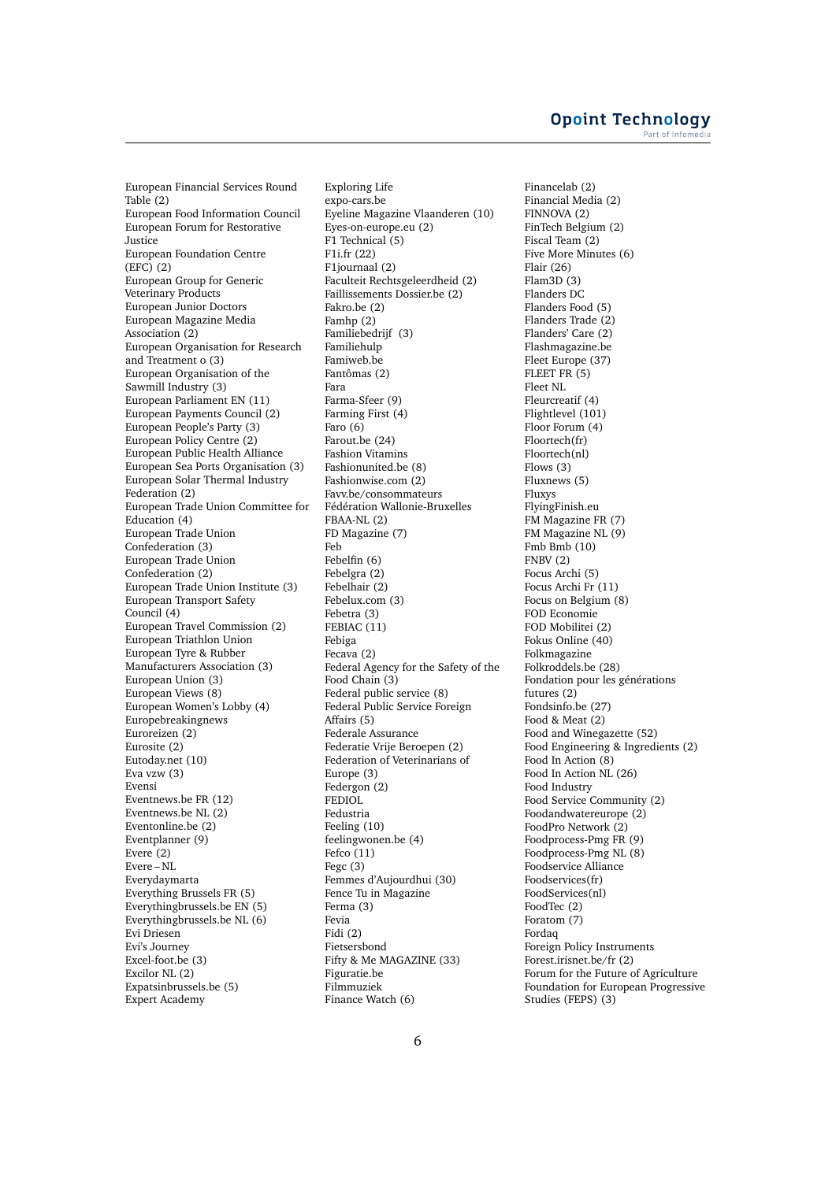European Financial Services Round Table (2) European Food Information Council European Forum for Restorative Justice European Foundation Centre  $(EFC)$  $(2)$ European Group for Generic Veterinary Products European Junior Doctors European Magazine Media Association (2) European Organisation for Research and Treatment o (3) European Organisation of the Sawmill Industry (3) European Parliament EN (11) European Payments Council (2) European People's Party (3) European Policy Centre (2) European Public Health Alliance European Sea Ports Organisation (3) European Solar Thermal Industry Federation (2) European Trade Union Committee for Education (4) European Trade Union Confederation (3) European Trade Union Confederation (2) European Trade Union Institute (3) European Transport Safety Council (4) European Travel Commission (2) European Triathlon Union European Tyre & Rubber Manufacturers Association (3) European Union (3) European Views (8) European Women's Lobby (4) Europebreakingnews Euroreizen (2) Eurosite (2) Eutoday.net (10) Eva vzw (3) Evensi Eventnews.be FR (12) Eventnews.be NL (2) Eventonline.be (2) Eventplanner (9) Evere (2) Evere – NL Everydaymarta Everything Brussels FR (5) Everythingbrussels.be EN (5) Everythingbrussels.be NL (6) Evi Driesen Evi's Journey Excel-foot.be (3) Excilor NL (2) Expatsinbrussels.be (5) Expert Academy

Exploring Life expo-cars.be Eyeline Magazine Vlaanderen (10) Eyes-on-europe.eu (2)  $F1$  Technical  $(5)$ F1i.fr (22) F1journaal (2) Faculteit Rechtsgeleerdheid (2) Faillissements Dossier.be (2) Fakro.be (2) Famhp (2) Familiebedrijf (3) Familiehulp Famiweb.be Fantômas (2) Fara Farma-Sfeer (9) Farming First (4) Faro (6) Farout.be (24) Fashion Vitamins Fashionunited.be (8) Fashionwise.com (2) Favv.be/consommateurs Fédération Wallonie-Bruxelles FBAA-NL (2) FD Magazine (7) Feb Febelfin (6) Febelgra (2) Febelhair (2) Febelux.com (3) Febetra (3) FEBIAC (11) Febiga Fecava (2) Federal Agency for the Safety of the Food Chain (3) Federal public service (8) Federal Public Service Foreign Affairs (5) Federale Assurance Federatie Vrije Beroepen (2) Federation of Veterinarians of Europe (3) Federgon (2) FEDIOL Fedustria Feeling (10) feelingwonen.be (4) Fefco (11) Fegc (3) Femmes d'Aujourdhui (30) Fence Tu in Magazine Ferma (3) Fevia Fidi (2) Fietsersbond Fifty & Me MAGAZINE (33) Figuratie.be Filmmuziek Finance Watch (6)

Financelab (2) Financial Media (2) FINNOVA (2) FinTech Belgium (2) Fiscal Team (2) Five More Minutes (6) Flair (26) Flam3D (3) Flanders DC Flanders Food (5) Flanders Trade (2) Flanders' Care (2) Flashmagazine.be Fleet Europe (37) FLEET FR (5) Fleet NL Fleurcreatif (4) Flightlevel (101) Floor Forum (4) Floortech(fr) Floortech(nl) Flows (3) Fluxnews (5) Fluxys FlyingFinish.eu FM Magazine FR (7) FM Magazine NL (9) Fmb Bmb (10) FNBV (2) Focus Archi (5) Focus Archi Fr (11) Focus on Belgium (8) FOD Economie FOD Mobilitei (2) Fokus Online (40) Folkmagazine Folkroddels.be (28) Fondation pour les générations futures (2) Fondsinfo.be (27) Food & Meat (2) Food and Winegazette (52) Food Engineering & Ingredients (2) Food In Action (8) Food In Action NL (26) Food Industry Food Service Community (2) Foodandwatereurope (2) FoodPro Network (2) Foodprocess-Pmg FR (9) Foodprocess-Pmg NL (8) Foodservice Alliance Foodservices(fr) FoodServices(nl) FoodTec (2) Foratom (7) Fordaq Foreign Policy Instruments Forest.irisnet.be/fr (2) Forum for the Future of Agriculture Foundation for European Progressive Studies (FEPS) (3)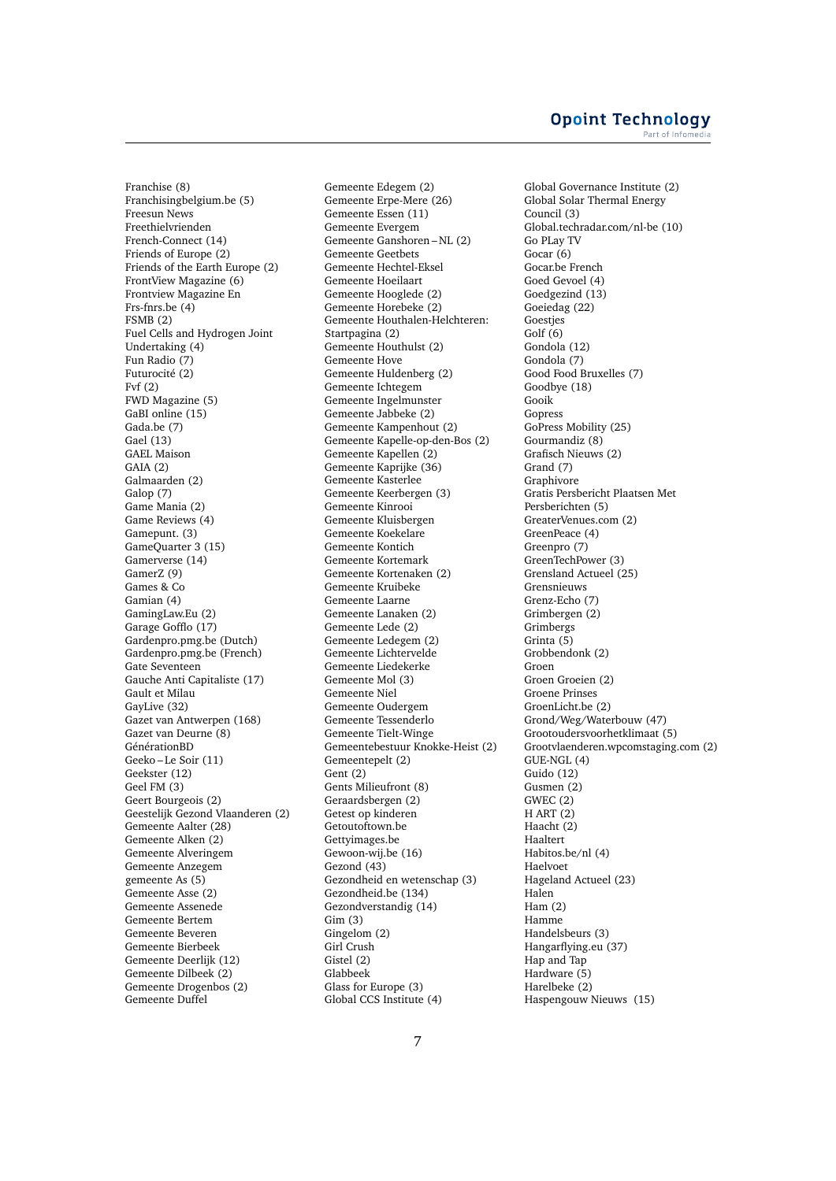Franchise (8) Franchisingbelgium.be (5) Freesun News Freethielvrienden French-Connect (14) Friends of Europe (2) Friends of the Earth Europe (2) FrontView Magazine (6) Frontview Magazine En Frs-fnrs.be (4) FSMB (2) Fuel Cells and Hydrogen Joint Undertaking (4) Fun Radio (7) Futurocité (2) Fvf (2) FWD Magazine (5) GaBI online (15) Gada.be (7) Gael (13) GAEL Maison GAIA (2) Galmaarden (2) Galop (7) Game Mania (2) Game Reviews (4) Gamepunt. (3) GameQuarter 3 (15) Gamerverse (14) GamerZ (9) Games & Co Gamian (4) GamingLaw.Eu (2) Garage Gofflo (17) Gardenpro.pmg.be (Dutch) Gardenpro.pmg.be (French) Gate Seventeen Gauche Anti Capitaliste (17) Gault et Milau GayLive (32) Gazet van Antwerpen (168) Gazet van Deurne (8) GénérationBD Geeko – Le Soir (11) Geekster (12) Geel FM (3) Geert Bourgeois (2) Geestelijk Gezond Vlaanderen (2) Gemeente Aalter (28) Gemeente Alken (2) Gemeente Alveringem Gemeente Anzegem gemeente As (5) Gemeente Asse (2) Gemeente Assenede Gemeente Bertem Gemeente Beveren Gemeente Bierbeek Gemeente Deerlijk (12) Gemeente Dilbeek (2) Gemeente Drogenbos (2) Gemeente Duffel

Gemeente Edegem (2) Gemeente Erpe-Mere (26) Gemeente Essen (11) Gemeente Evergem Gemeente Ganshoren – NL (2) Gemeente Geetbets Gemeente Hechtel-Eksel Gemeente Hoeilaart Gemeente Hooglede (2) Gemeente Horebeke (2) Gemeente Houthalen-Helchteren: Startpagina (2) Gemeente Houthulst (2) Gemeente Hove Gemeente Huldenberg (2) Gemeente Ichtegem Gemeente Ingelmunster Gemeente Jabbeke (2) Gemeente Kampenhout (2) Gemeente Kapelle-op-den-Bos (2) Gemeente Kapellen (2) Gemeente Kaprijke (36) Gemeente Kasterlee Gemeente Keerbergen (3) Gemeente Kinrooi Gemeente Kluisbergen Gemeente Koekelare Gemeente Kontich Gemeente Kortemark Gemeente Kortenaken (2) Gemeente Kruibeke Gemeente Laarne Gemeente Lanaken (2) Gemeente Lede (2) Gemeente Ledegem (2) Gemeente Lichtervelde Gemeente Liedekerke Gemeente Mol (3) Gemeente Niel Gemeente Oudergem Gemeente Tessenderlo Gemeente Tielt-Winge Gemeentebestuur Knokke-Heist (2) Gemeentepelt (2) Gent (2) Gents Milieufront (8) Geraardsbergen (2) Getest op kinderen Getoutoftown.be Gettyimages.be Gewoon-wij.be (16) Gezond (43) Gezondheid en wetenschap (3) Gezondheid.be (134) Gezondverstandig (14) Gim (3) Gingelom (2) Girl Crush Gistel (2) Glabbeek Glass for Europe (3) Global CCS Institute (4)

Global Governance Institute (2) Global Solar Thermal Energy Council (3) Global.techradar.com/nl-be (10) Go PLay TV Gocar (6) Gocar.be French Goed Gevoel (4) Goedgezind (13) Goeiedag (22) Goestjes Golf (6) Gondola (12) Gondola (7) Good Food Bruxelles (7) Goodbye (18) Gooik Gopress GoPress Mobility (25) Gourmandiz (8) Grafisch Nieuws (2) Grand (7) Graphivore Gratis Persbericht Plaatsen Met Persberichten (5) GreaterVenues.com (2) GreenPeace (4) Greenpro (7) GreenTechPower (3) Grensland Actueel (25) Grensnieuws Grenz-Echo (7) Grimbergen (2) **Grimbergs** Grinta (5) Grobbendonk (2) Groen Groen Groeien (2) Groene Prinses GroenLicht.be (2) Grond/Weg/Waterbouw (47) Grootoudersvoorhetklimaat (5) Grootvlaenderen.wpcomstaging.com (2) GUE-NGL (4) Guido (12) Gusmen (2) GWEC (2) H ART (2) Haacht (2) Haaltert Habitos.be/nl (4) Haelvoet Hageland Actueel (23) Halen Ham (2) Hamme Handelsbeurs (3) Hangarflying.eu (37) Hap and Tap Hardware (5) Harelbeke (2) Haspengouw Nieuws (15)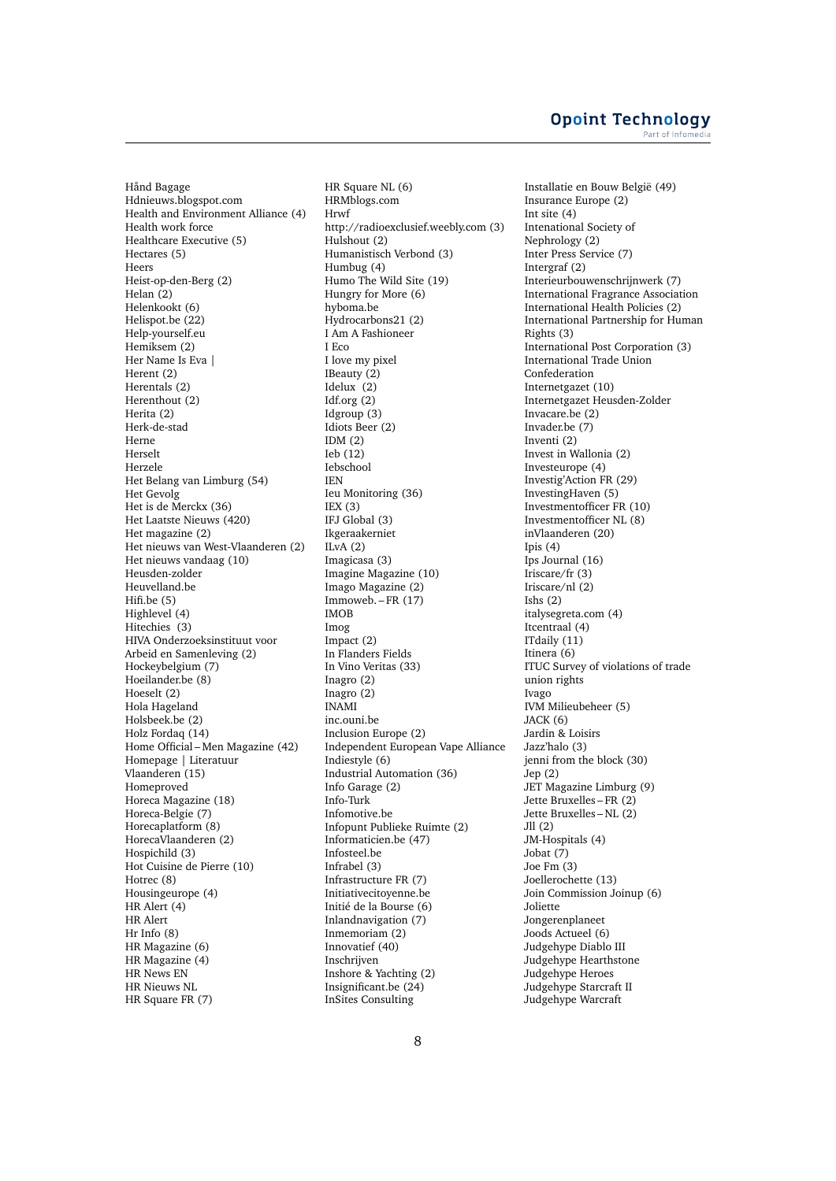**Opoint Technology** Part of Infomed

Hånd Bagage Hdnieuws.blogspot.com Health and Environment Alliance (4) Health work force Healthcare Executive (5) Hectares (5) Heers Heist-op-den-Berg (2) Helan (2) Helenkookt (6) Helispot.be (22) Help-yourself.eu Hemiksem (2) Her Name Is Eva | Herent (2) Herentals (2) Herenthout (2) Herita (2) Herk-de-stad Herne Herselt Herzele Het Belang van Limburg (54) Het Gevolg Het is de Merckx (36) Het Laatste Nieuws (420) Het magazine (2) Het nieuws van West-Vlaanderen (2) Het nieuws vandaag (10) Heusden-zolder Heuvelland.be Hifi.be (5) Highlevel (4) Hitechies (3) HIVA Onderzoeksinstituut voor Arbeid en Samenleving (2) Hockeybelgium (7) Hoeilander.be (8) Hoeselt (2) Hola Hageland Holsbeek.be (2) Holz Fordaq (14) Home Official – Men Magazine (42) Homepage | Literatuur Vlaanderen (15) Homeproved Horeca Magazine (18) Horeca-Belgie (7) Horecaplatform (8) HorecaVlaanderen (2) Hospichild (3) Hot Cuisine de Pierre (10) Hotrec (8) Housingeurope (4) HR Alert (4) HR Alert Hr Info (8) HR Magazine (6) HR Magazine (4) HR News EN HR Nieuws NL HR Square FR (7)

HR Square NL (6) HRMblogs.com Hrwf http://radioexclusief.weebly.com (3) Hulshout (2) Humanistisch Verbond (3) Humbug (4) Humo The Wild Site (19) Hungry for More (6) hyboma.be Hydrocarbons21 (2) I Am A Fashioneer I Eco I love my pixel IBeauty (2) Idelux (2) Idf.org (2) Idgroup (3) Idiots Beer (2) IDM (2)  $Ieb(12)$ Iebschool IEN Ieu Monitoring (36) IEX (3) IFJ Global (3) Ikgeraakerniet  $ILvA(2)$ Imagicasa (3) Imagine Magazine (10) Imago Magazine (2) Immoweb. $-FR(17)$ IMOB Imog Impact (2) In Flanders Fields In Vino Veritas (33) Inagro (2) Inagro (2) INAMI inc.ouni.be Inclusion Europe (2) Independent European Vape Alliance Indiestyle (6) Industrial Automation (36) Info Garage (2) Info-Turk Infomotive.be Infopunt Publieke Ruimte (2) Informaticien.be (47) Infosteel.be Infrabel (3) Infrastructure FR (7) Initiativecitoyenne.be Initié de la Bourse (6) Inlandnavigation (7) Inmemoriam (2) Innovatief (40) Inschrijven Inshore & Yachting (2) Insignificant.be (24) InSites Consulting

Installatie en Bouw België (49) Insurance Europe (2) Int site (4) Intenational Society of Nephrology (2) Inter Press Service (7) Intergraf (2) Interieurbouwenschrijnwerk (7) International Fragrance Association International Health Policies (2) International Partnership for Human Rights (3) International Post Corporation (3) International Trade Union Confederation Internetgazet (10) Internetgazet Heusden-Zolder Invacare.be (2) Invader.be (7) Inventi (2) Invest in Wallonia (2) Investeurope (4) Investig'Action FR (29) InvestingHaven (5) Investmentofficer FR (10) Investmentofficer NL (8) inVlaanderen (20) Ipis  $(4)$ Ips Journal (16) Iriscare/fr (3) Iriscare/nl (2) Ishs (2) italysegreta.com (4) Itcentraal (4) ITdaily (11) Itinera (6) ITUC Survey of violations of trade union rights Ivago IVM Milieubeheer (5) JACK (6) Jardin & Loisirs Jazz'halo (3) jenni from the block (30) Jep (2) JET Magazine Limburg (9) Jette Bruxelles – FR (2) Jette Bruxelles – NL (2) Jll (2) JM-Hospitals (4) Jobat (7) Joe Fm (3) Joellerochette (13) Join Commission Joinup (6) Joliette Jongerenplaneet Joods Actueel (6) Judgehype Diablo III Judgehype Hearthstone Judgehype Heroes Judgehype Starcraft II Judgehype Warcraft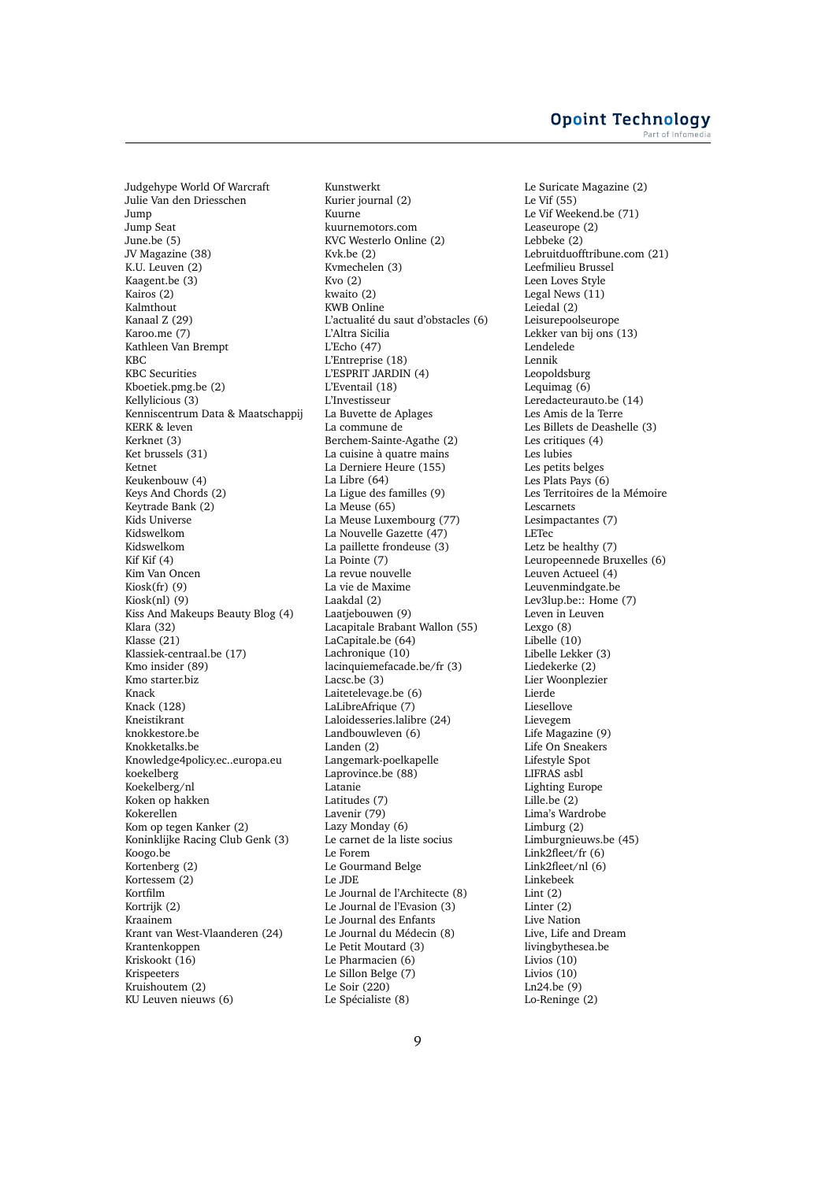Judgehype World Of Warcraft Julie Van den Driesschen Jump Jump Seat June.be (5) JV Magazine (38) K.U. Leuven (2) Kaagent.be (3) Kairos (2) Kalmthout Kanaal Z (29) Karoo.me (7) Kathleen Van Brempt KBC KBC Securities Kboetiek.pmg.be (2) Kellylicious (3) Kenniscentrum Data & Maatschappij KERK & leven Kerknet (3) Ket brussels (31) Ketnet Keukenbouw (4) Keys And Chords (2) Keytrade Bank (2) Kids Universe Kidswelkom Kidswelkom Kif Kif (4) Kim Van Oncen Kiosk(fr) (9) Kiosk(nl) (9) Kiss And Makeups Beauty Blog (4) Klara (32) Klasse (21) Klassiek-centraal.be (17) Kmo insider (89) Kmo starter.biz Knack Knack (128) Kneistikrant knokkestore.be Knokketalks.be Knowledge4policy.ec..europa.eu koekelberg Koekelberg/nl Koken op hakken Kokerellen Kom op tegen Kanker (2) Koninklijke Racing Club Genk (3) Koogo.be Kortenberg (2) Kortessem (2) Kortfilm Kortrijk (2) Kraainem Krant van West-Vlaanderen (24) Krantenkoppen Kriskookt (16) Krispeeters Kruishoutem (2) KU Leuven nieuws (6)

Kunstwerkt Kurier journal (2) Kuurne kuurnemotors.com KVC Westerlo Online (2) Kvk.be (2) Kvmechelen (3) Kvo (2) kwaito (2) KWB Online L'actualité du saut d'obstacles (6) L'Altra Sicilia L'Echo (47) L'Entreprise (18) L'ESPRIT JARDIN (4) L'Eventail (18) L'Investisseur La Buvette de Aplages La commune de Berchem-Sainte-Agathe (2) La cuisine à quatre mains La Derniere Heure (155) La Libre (64) La Ligue des familles (9) La Meuse (65) La Meuse Luxembourg (77) La Nouvelle Gazette (47) La paillette frondeuse (3) La Pointe (7) La revue nouvelle La vie de Maxime Laakdal (2) Laatjebouwen (9) Lacapitale Brabant Wallon (55) LaCapitale.be (64) Lachronique (10) lacinquiemefacade.be/fr (3) Lacsc.be (3) Laitetelevage.be (6) LaLibreAfrique (7) Laloidesseries.lalibre (24) Landbouwleven (6) Landen (2) Langemark-poelkapelle Laprovince.be (88) Latanie Latitudes (7) Lavenir (79) Lazy Monday (6) Le carnet de la liste socius Le Forem Le Gourmand Belge Le JDE Le Journal de l'Architecte (8) Le Journal de l'Evasion (3) Le Journal des Enfants Le Journal du Médecin (8) Le Petit Moutard (3) Le Pharmacien (6) Le Sillon Belge (7) Le Soir (220) Le Spécialiste (8)

Le Suricate Magazine (2) Le Vif (55) Le Vif Weekend.be (71) Leaseurope (2) Lebbeke (2) Lebruitduofftribune.com (21) Leefmilieu Brussel Leen Loves Style Legal News (11) Leiedal (2) Leisurepoolseurope Lekker van bij ons (13) Lendelede Lennik Leopoldsburg Lequimag (6) Leredacteurauto.be (14) Les Amis de la Terre Les Billets de Deashelle (3) Les critiques (4) Les lubies Les petits belges Les Plats Pays (6) Les Territoires de la Mémoire Lescarnets Lesimpactantes (7) LETec Letz be healthy (7) Leuropeennede Bruxelles (6) Leuven Actueel (4) Leuvenmindgate.be Lev3lup.be:: Home (7) Leven in Leuven Lexgo (8) Libelle (10) Libelle Lekker (3) Liedekerke (2) Lier Woonplezier Lierde Liesellove Lievegem Life Magazine (9) Life On Sneakers Lifestyle Spot LIFRAS asbl Lighting Europe Lille.be (2) Lima's Wardrobe Limburg (2) Limburgnieuws.be (45) Link2fleet/fr (6) Link2fleet/nl (6) Linkebeek  $Lint(2)$ Linter (2) Live Nation Live, Life and Dream livingbythesea.be Livios (10) Livios (10) Ln24.be (9) Lo-Reninge (2)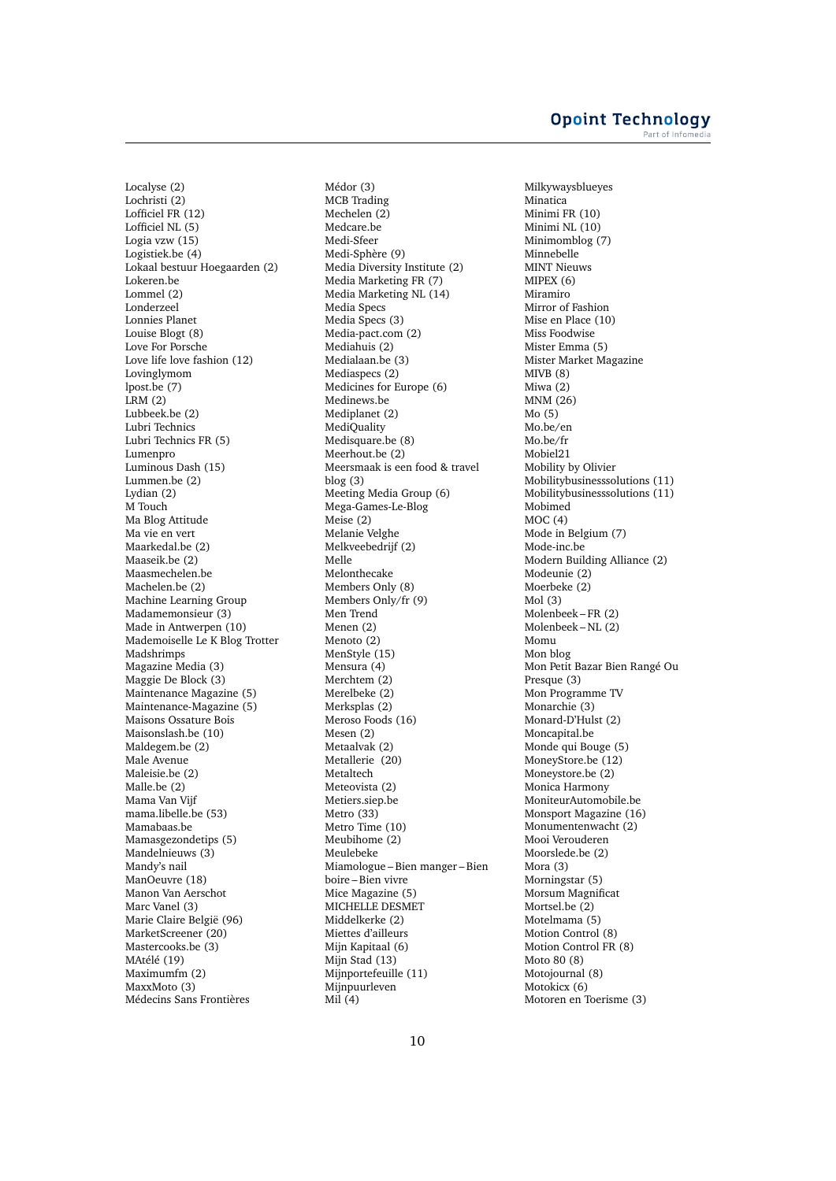Localyse (2) Lochristi (2) Lofficiel FR (12) Lofficiel NL (5) Logia vzw (15) Logistiek.be (4) Lokaal bestuur Hoegaarden (2) Lokeren.be Lommel (2) Londerzeel Lonnies Planet Louise Blogt (8) Love For Porsche Love life love fashion (12) Lovinglymom lpost.be (7) LRM (2) Lubbeek.be (2) Lubri Technics Lubri Technics FR (5) Lumenpro Luminous Dash (15) Lummen.be (2) Lydian (2) M Touch Ma Blog Attitude Ma vie en vert Maarkedal.be (2) Maaseik.be (2) Maasmechelen.be Machelen.be (2) Machine Learning Group Madamemonsieur (3) Made in Antwerpen (10) Mademoiselle Le K Blog Trotter Madshrimps Magazine Media (3) Maggie De Block (3) Maintenance Magazine (5) Maintenance-Magazine (5) Maisons Ossature Bois Maisonslash.be (10) Maldegem.be (2) Male Avenue Maleisie.be (2) Malle.be (2) Mama Van Vijf mama.libelle.be (53) Mamabaas.be Mamasgezondetips (5) Mandelnieuws (3) Mandy's nail ManOeuvre (18) Manon Van Aerschot Marc Vanel (3) Marie Claire België (96) MarketScreener (20) Mastercooks.be (3) MAtélé (19) Maximumfm (2) MaxxMoto (3) Médecins Sans Frontières

Médor (3) MCB Trading Mechelen (2) Medcare.be Medi-Sfeer Medi-Sphère (9) Media Diversity Institute (2) Media Marketing FR (7) Media Marketing NL (14) Media Specs Media Specs (3) Media-pact.com (2) Mediahuis (2) Medialaan.be (3) Mediaspecs (2) Medicines for Europe (6) Medinews.be Mediplanet (2) **MediQuality** Medisquare.be (8) Meerhout.be (2) Meersmaak is een food & travel blog (3) Meeting Media Group (6) Mega-Games-Le-Blog Meise (2) Melanie Velghe Melkveebedrijf (2) Melle Melonthecake Members Only (8) Members Only/fr (9) Men Trend Menen (2) Menoto (2) MenStyle (15) Mensura (4) Merchtem (2) Merelbeke (2) Merksplas (2) Meroso Foods (16) Mesen (2) Metaalvak (2) Metallerie (20) Metaltech Meteovista (2) Metiers.siep.be Metro (33) Metro Time (10) Meubihome (2) Meulebeke Miamologue – Bien manger – Bien boire – Bien vivre Mice Magazine (5) MICHELLE DESMET Middelkerke (2) Miettes d'ailleurs Mijn Kapitaal (6) Mijn Stad (13) Mijnportefeuille (11) Mijnpuurleven Mil (4)

Milkywaysblueyes Minatica Minimi FR (10) Minimi NL (10) Minimomblog (7) Minnebelle MINT Nieuws MIPEX (6) Miramiro Mirror of Fashion Mise en Place (10) Miss Foodwise Mister Emma (5) Mister Market Magazine MIVB (8) Miwa (2) MNM (26) Mo (5) Mo.be/en Mo.be/fr Mobiel21 Mobility by Olivier Mobilitybusinesssolutions (11) Mobilitybusinesssolutions (11) Mobimed MOC (4) Mode in Belgium (7) Mode-inc.be Modern Building Alliance (2) Modeunie (2) Moerbeke (2) Mol (3) Molenbeek – FR (2) Molenbeek – NL (2) Momu Mon blog Mon Petit Bazar Bien Rangé Ou Presque (3) Mon Programme TV Monarchie (3) Monard-D'Hulst (2) Moncapital.be Monde qui Bouge (5) MoneyStore.be (12) Moneystore.be (2) Monica Harmony MoniteurAutomobile.be Monsport Magazine (16) Monumentenwacht (2) Mooi Verouderen Moorslede.be (2) Mora (3) Morningstar (5) Morsum Magnificat Mortsel.be (2) Motelmama (5) Motion Control (8) Motion Control FR (8) Moto 80 (8) Motojournal (8) Motokicx (6) Motoren en Toerisme (3)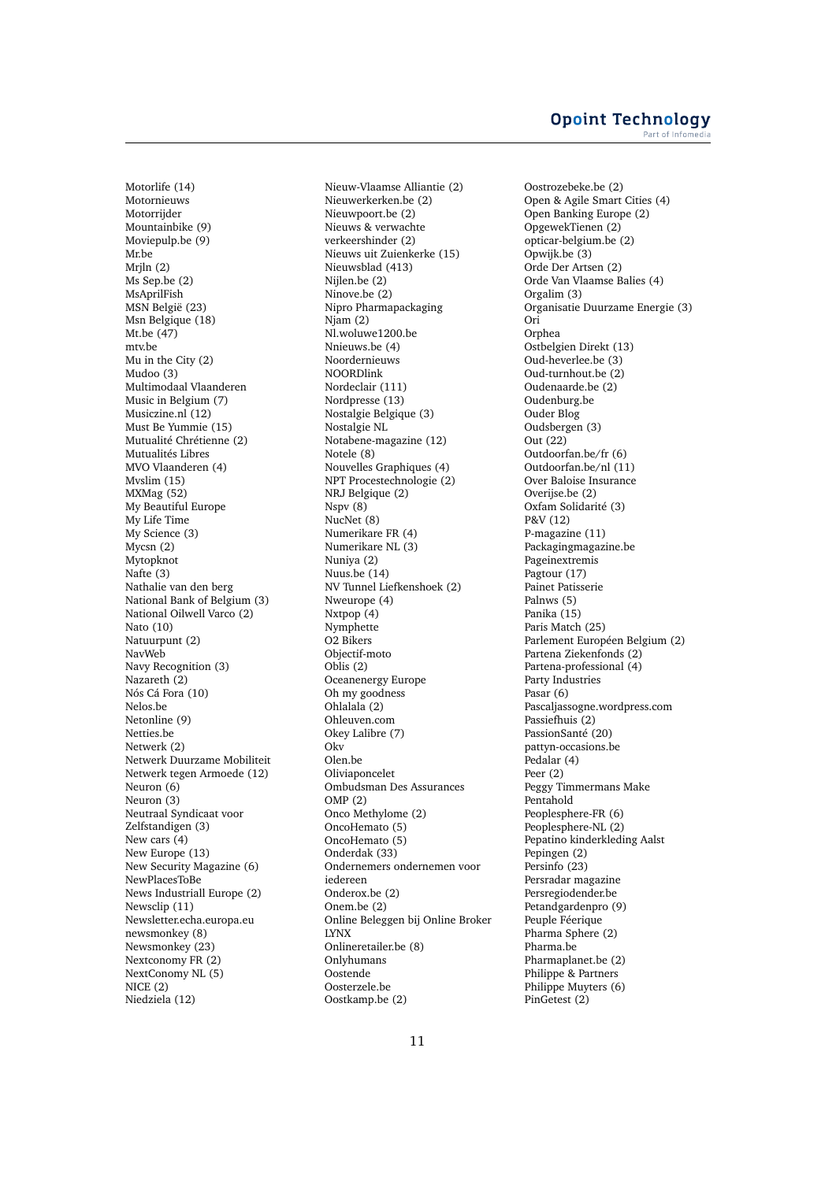#### **Opoint Technology** Part of Infomer

Motorlife (14) Motornieuws **Motorrijder** Mountainbike (9) Moviepulp.be (9) Mr.be Mrjln (2) Ms Sep.be (2) MsAprilFish MSN België (23) Msn Belgique (18) Mt.be (47) mtv.be Mu in the City (2) Mudoo (3) Multimodaal Vlaanderen Music in Belgium (7) Musiczine.nl (12) Must Be Yummie (15) Mutualité Chrétienne (2) Mutualités Libres MVO Vlaanderen (4) Mvslim (15) MXMag (52) My Beautiful Europe My Life Time My Science (3) Mycsn (2) Mytopknot Nafte (3) Nathalie van den berg National Bank of Belgium (3) National Oilwell Varco (2) Nato (10) Natuurpunt (2) NavWeb Navy Recognition (3) Nazareth (2) Nós Cá Fora (10) Nelos.be Netonline (9) Netties.be Netwerk (2) Netwerk Duurzame Mobiliteit Netwerk tegen Armoede (12) Neuron (6) Neuron (3) Neutraal Syndicaat voor Zelfstandigen (3) New cars (4) New Europe (13) New Security Magazine (6) NewPlacesToBe News Industriall Europe (2) Newsclip (11) Newsletter.echa.europa.eu newsmonkey (8) Newsmonkey (23) Nextconomy FR (2) NextConomy NL (5) NICE (2) Niedziela (12)

Nieuw-Vlaamse Alliantie (2) Nieuwerkerken.be (2) Nieuwpoort.be (2) Nieuws & verwachte verkeershinder (2) Nieuws uit Zuienkerke (15) Nieuwsblad (413) Nijlen.be (2) Ninove.be (2) Nipro Pharmapackaging  $Niam(2)$ Nl.woluwe1200.be Nnieuws.be (4) Noordernieuws NOORDlink Nordeclair (111) Nordpresse (13) Nostalgie Belgique (3) Nostalgie NL Notabene-magazine (12) Notele (8) Nouvelles Graphiques (4) NPT Procestechnologie (2) NRJ Belgique (2) Nspv (8) NucNet (8) Numerikare FR (4) Numerikare NL (3) Nuniya (2) Nuus.be (14) NV Tunnel Liefkenshoek (2) Nweurope (4) Nxtpop (4) Nymphette O2 Bikers Objectif-moto Oblis (2) Oceanenergy Europe Oh my goodness Ohlalala (2) Ohleuven.com Okey Lalibre (7) Okv Olen.be Oliviaponcelet Ombudsman Des Assurances OMP (2) Onco Methylome (2) OncoHemato (5) OncoHemato (5) Onderdak (33) Ondernemers ondernemen voor iedereen Onderox.be (2) Onem.be (2) Online Beleggen bij Online Broker LYNX Onlineretailer.be (8) Onlyhumans Oostende Oosterzele.be Oostkamp.be (2)

Oostrozebeke.be (2) Open & Agile Smart Cities (4) Open Banking Europe (2) OpgewekTienen (2) opticar-belgium.be (2) Opwijk.be (3) Orde Der Artsen (2) Orde Van Vlaamse Balies (4) Orgalim (3) Organisatie Duurzame Energie (3) Ori Orphea Ostbelgien Direkt (13) Oud-heverlee.be (3) Oud-turnhout.be (2) Oudenaarde.be (2) Oudenburg.be Ouder Blog Oudsbergen (3) Out (22) Outdoorfan.be/fr (6) Outdoorfan.be/nl (11) Over Baloise Insurance Overijse.be (2) Oxfam Solidarité (3) P&V (12) P-magazine (11) Packagingmagazine.be Pageinextremis Pagtour (17) Painet Patisserie Palnws (5) Panika (15) Paris Match (25) Parlement Européen Belgium (2) Partena Ziekenfonds (2) Partena-professional (4) Party Industries Pasar (6) Pascaljassogne.wordpress.com Passiefhuis (2) PassionSanté (20) pattyn-occasions.be Pedalar (4) Peer (2) Peggy Timmermans Make Pentahold Peoplesphere-FR (6) Peoplesphere-NL (2) Pepatino kinderkleding Aalst Pepingen (2) Persinfo (23) Persradar magazine Persregiodender.be Petandgardenpro (9) Peuple Féerique Pharma Sphere (2) Pharma.be Pharmaplanet.be (2) Philippe & Partners Philippe Muyters (6) PinGetest (2)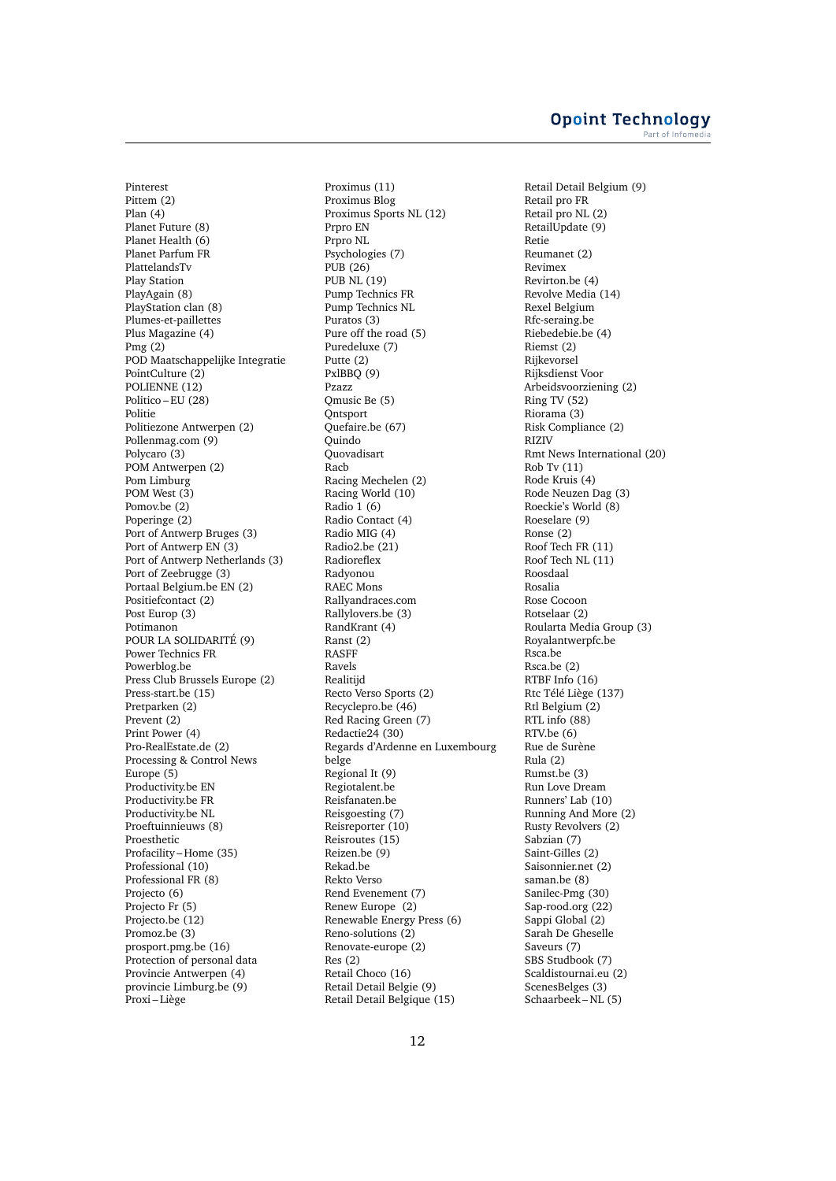Pinterest Pittem (2) Plan (4) Planet Future (8) Planet Health (6) Planet Parfum FR PlattelandsTv Play Station PlayAgain (8) PlayStation clan (8) Plumes-et-paillettes Plus Magazine (4) Pmg (2) POD Maatschappelijke Integratie PointCulture (2) POLIENNE (12) Politico – EU (28) Politie Politiezone Antwerpen (2) Pollenmag.com (9) Polycaro<sup>(3)</sup> POM Antwerpen (2) Pom Limburg POM West (3) Pomov.be (2) Poperinge (2) Port of Antwerp Bruges (3) Port of Antwerp EN (3) Port of Antwerp Netherlands (3) Port of Zeebrugge (3) Portaal Belgium.be EN (2) Positiefcontact (2) Post Europ (3) Potimanon POUR LA SOLIDARITÉ (9) Power Technics FR Powerblog.be Press Club Brussels Europe (2) Press-start.be (15) Pretparken (2) Prevent (2) Print Power (4) Pro-RealEstate.de (2) Processing & Control News Europe (5) Productivity.be EN Productivity.be FR Productivity.be NL Proeftuinnieuws (8) Proesthetic Profacility – Home (35) Professional (10) Professional FR (8) Projecto (6) Projecto Fr (5) Projecto.be (12) Promoz.be (3) prosport.pmg.be (16) Protection of personal data Provincie Antwerpen (4) provincie Limburg.be (9) Proxi – Liège

Proximus (11) Proximus Blog Proximus Sports NL (12) Prpro EN Prpro NL Psychologies (7) PUB (26) PUB NL (19) Pump Technics FR Pump Technics NL Puratos (3) Pure off the road (5) Puredeluxe (7) Putte (2) PxlBBQ (9) Pzazz Qmusic Be (5) **Ontsport** Quefaire.be (67) **Ouindo** Quovadisart Racb Racing Mechelen (2) Racing World (10) Radio 1 (6) Radio Contact (4) Radio MIG (4) Radio2.be (21) **Radioreflex** Radyonou RAEC Mons Rallyandraces.com Rallylovers.be (3) RandKrant (4) Ranst (2) RASFF Ravels Realitijd Recto Verso Sports (2) Recyclepro.be (46) Red Racing Green (7) Redactie24 (30) Regards d'Ardenne en Luxembourg belge Regional It (9) Regiotalent.be Reisfanaten.be Reisgoesting (7) Reisreporter (10) Reisroutes (15) Reizen.be (9) Rekad.be Rekto Verso Rend Evenement (7) Renew Europe (2) Renewable Energy Press (6) Reno-solutions (2) Renovate-europe (2) Res (2) Retail Choco (16) Retail Detail Belgie (9) Retail Detail Belgique (15)

Retail Detail Belgium (9) Retail pro FR Retail pro NL (2) RetailUpdate (9) Retie Reumanet (2) Revimex Revirton.be (4) Revolve Media (14) Rexel Belgium Rfc-seraing.be Riebedebie.be (4) Riemst (2) Rijkevorsel Rijksdienst Voor Arbeidsvoorziening (2) Ring TV (52) Riorama (3) Risk Compliance (2) RIZIV Rmt News International (20) Rob Tv (11) Rode Kruis (4) Rode Neuzen Dag (3) Roeckie's World (8) Roeselare (9) Ronse (2) Roof Tech FR (11) Roof Tech NL (11) Roosdaal Rosalia Rose Cocoon Rotselaar (2) Roularta Media Group (3) Royalantwerpfc.be Rsca.be Rsca.be (2) RTBF Info (16) Rtc Télé Liège (137) Rtl Belgium (2) RTL info (88) RTV.be (6) Rue de Surène Rula (2) Rumst.be (3) Run Love Dream Runners' Lab (10) Running And More (2) Rusty Revolvers (2) Sabzian (7) Saint-Gilles (2) Saisonnier.net (2) saman.be (8) Sanilec-Pmg (30) Sap-rood.org (22) Sappi Global (2) Sarah De Gheselle Saveurs (7) SBS Studbook (7) Scaldistournai.eu (2) ScenesBelges (3) Schaarbeek – NL (5)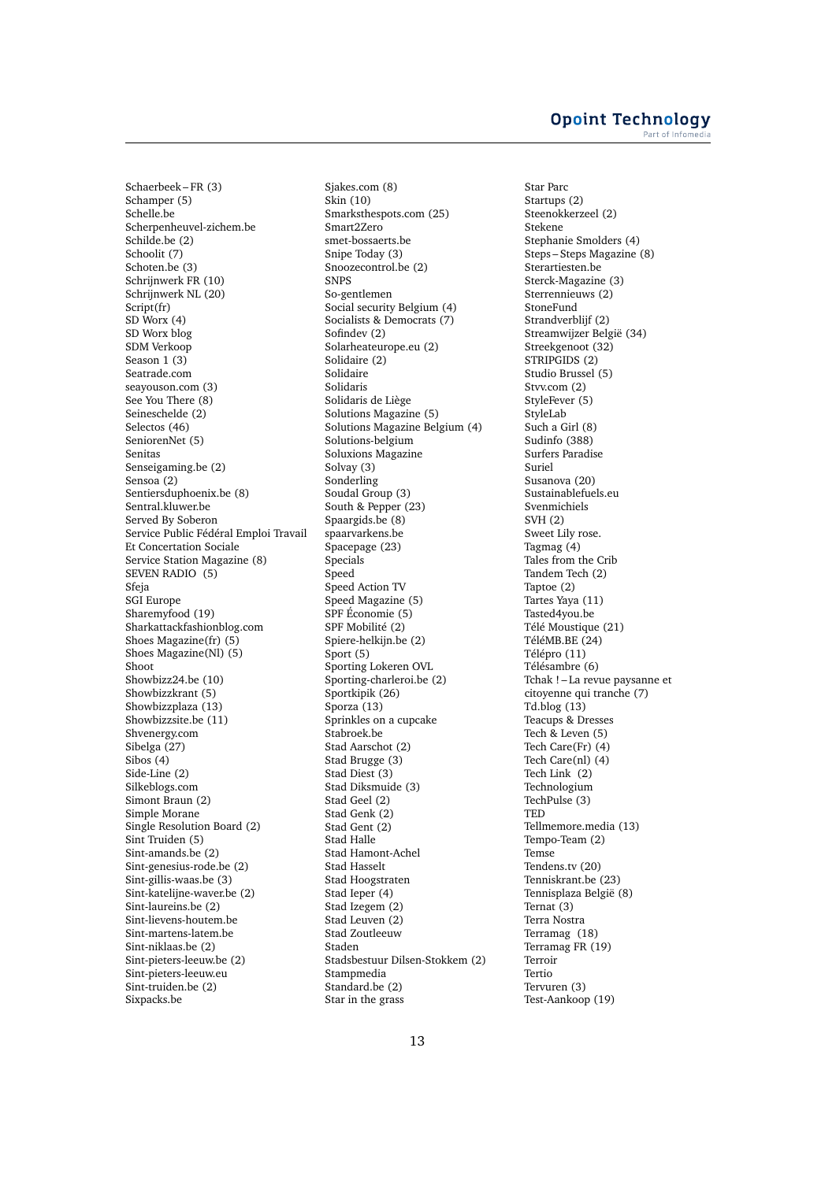Schaerbeek – FR (3) Schamper (5) Schelle.be Scherpenheuvel-zichem.be Schilde.be (2) Schoolit (7) Schoten.be (3) Schrijnwerk FR (10) Schrijnwerk NL (20) Script(fr)  $SD$  Worx  $(4)$ SD Worx blog SDM Verkoop Season 1 (3) Seatrade.com seayouson.com (3) See You There (8) Seineschelde (2) Selectos (46) SeniorenNet (5) Senitas Senseigaming.be (2) Sensoa (2) Sentiersduphoenix.be (8) Sentral.kluwer.be Served By Soberon Service Public Fédéral Emploi Travail Et Concertation Sociale Service Station Magazine (8) SEVEN RADIO (5) Sfeja SGI Europe Sharemyfood (19) Sharkattackfashionblog.com Shoes Magazine(fr) (5) Shoes Magazine(Nl) (5) Shoot Showbizz24.be (10) Showbizzkrant (5) Showbizzplaza (13) Showbizzsite.be (11) Shvenergy.com Sibelga (27) Sibos  $(4)$ Side-Line (2) Silkeblogs.com Simont Braun (2) Simple Morane Single Resolution Board (2) Sint Truiden (5) Sint-amands.be (2) Sint-genesius-rode.be (2) Sint-gillis-waas.be (3) Sint-katelijne-waver.be (2) Sint-laureins.be (2) Sint-lievens-houtem.be Sint-martens-latem.be Sint-niklaas.be (2) Sint-pieters-leeuw.be (2) Sint-pieters-leeuw.eu Sint-truiden.be (2) Sixpacks.be

Sjakes.com (8) Skin (10) Smarksthespots.com (25) Smart2Zero smet-bossaerts.be Snipe Today (3) Snoozecontrol.be (2) SNPS So-gentlemen Social security Belgium (4) Socialists & Democrats (7) Sofindev (2) Solarheateurope.eu (2) Solidaire (2) Solidaire Solidaris Solidaris de Liège Solutions Magazine (5) Solutions Magazine Belgium (4) Solutions-belgium Soluxions Magazine Solvay (3) Sonderling Soudal Group (3) South & Pepper (23) Spaargids.be (8) spaarvarkens.be Spacepage (23) Specials Speed Speed Action TV Speed Magazine (5) SPF Économie (5) SPF Mobilité (2) Spiere-helkijn.be (2) Sport (5) Sporting Lokeren OVL Sporting-charleroi.be (2) Sportkipik (26) Sporza (13) Sprinkles on a cupcake Stabroek.be Stad Aarschot (2) Stad Brugge (3) Stad Diest (3) Stad Diksmuide (3) Stad Geel (2) Stad Genk (2) Stad Gent (2) Stad Halle Stad Hamont-Achel Stad Hasselt Stad Hoogstraten Stad Ieper (4) Stad Izegem (2) Stad Leuven (2) Stad Zoutleeuw Staden Stadsbestuur Dilsen-Stokkem (2) Stampmedia Standard.be (2) Star in the grass

Star Parc Startups (2) Steenokkerzeel (2) Stekene Stephanie Smolders (4) Steps – Steps Magazine (8) Sterartiesten.be Sterck-Magazine (3) Sterrennieuws (2) StoneFund Strandverblijf (2) Streamwijzer België (34) Streekgenoot (32) STRIPGIDS (2) Studio Brussel (5) Stvv.com (2) StyleFever (5) StyleLab Such a Girl (8) Sudinfo (388) Surfers Paradise Suriel Susanova (20) Sustainablefuels.eu Svenmichiels SVH (2) Sweet Lily rose. Tagmag (4) Tales from the Crib Tandem Tech (2) Taptoe (2) Tartes Yaya (11) Tasted4you.be Télé Moustique (21) TéléMB.BE (24) Télépro (11) Télésambre (6) Tchak ! – La revue paysanne et citoyenne qui tranche (7) Td.blog (13) Teacups & Dresses Tech & Leven (5) Tech Care(Fr) (4) Tech Care(nl) (4) Tech Link (2) Technologium TechPulse (3) **TED** Tellmemore.media (13) Tempo-Team (2) Temse Tendens.tv (20) Tenniskrant.be (23) Tennisplaza België (8) Ternat (3) Terra Nostra Terramag (18) Terramag FR (19) Terroir Tertio Tervuren (3) Test-Aankoop (19)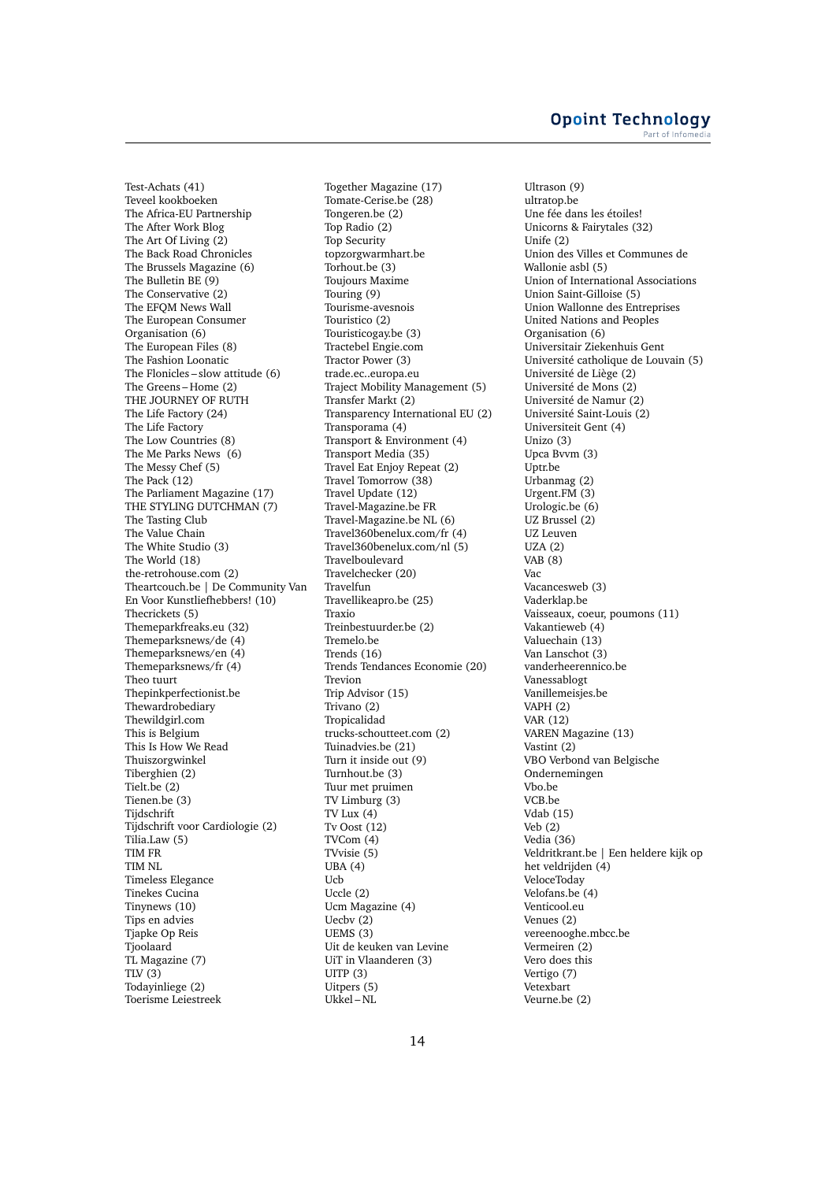Test-Achats (41) Teveel kookboeken The Africa-EU Partnership The After Work Blog The Art Of Living (2) The Back Road Chronicles The Brussels Magazine (6) The Bulletin BE (9) The Conservative (2) The EFQM News Wall The European Consumer Organisation (6) The European Files (8) The Fashion Loonatic The Flonicles – slow attitude (6) The Greens – Home (2) THE JOURNEY OF RUTH The Life Factory (24) The Life Factory The Low Countries (8) The Me Parks News (6) The Messy Chef (5) The Pack (12) The Parliament Magazine (17) THE STYLING DUTCHMAN (7) The Tasting Club The Value Chain The White Studio (3) The World (18) the-retrohouse.com (2) Theartcouch.be | De Community Van En Voor Kunstliefhebbers! (10) Thecrickets (5) Themeparkfreaks.eu (32) Themeparksnews/de (4) Themeparksnews/en (4) Themeparksnews/fr (4) Theo tuurt Thepinkperfectionist.be Thewardrobediary Thewildgirl.com This is Belgium This Is How We Read Thuiszorgwinkel Tiberghien (2) Tielt.be (2) Tienen.be (3) **Tiidschrift** Tijdschrift voor Cardiologie (2) Tilia.Law (5) TIM FR TIM NL Timeless Elegance Tinekes Cucina Tinynews (10) Tips en advies Tjapke Op Reis Tjoolaard TL Magazine (7) TLV $(3)$ Todayinliege (2) Toerisme Leiestreek

Together Magazine (17) Tomate-Cerise.be (28) Tongeren.be (2) Top Radio (2) Top Security topzorgwarmhart.be Torhout.be (3) Toujours Maxime Touring (9) Tourisme-avesnois Touristico (2) Touristicogay.be (3) Tractebel Engie.com Tractor Power (3) trade.ec..europa.eu Traject Mobility Management (5) Transfer Markt (2) Transparency International EU (2) Transporama (4) Transport & Environment (4) Transport Media (35) Travel Eat Enjoy Repeat (2) Travel Tomorrow (38) Travel Update (12) Travel-Magazine.be FR Travel-Magazine.be NL (6) Travel360benelux.com/fr (4) Travel360benelux.com/nl (5) Travelboulevard Travelchecker (20) Travelfun Travellikeapro.be (25) Traxio Treinbestuurder.be (2) Tremelo.be Trends (16) Trends Tendances Economie (20) Trevion Trip Advisor (15) Trivano (2) Tropicalidad trucks-schoutteet.com (2) Tuinadvies.be (21) Turn it inside out (9) Turnhout.be (3) Tuur met pruimen TV Limburg (3) TV Lux (4) Tv Oost (12) TVCom (4) TVvisie (5) UBA (4) Ucb Uccle (2) Ucm Magazine (4) Uecbv (2) UEMS (3) Uit de keuken van Levine UiT in Vlaanderen (3)  $UITP(3)$ Uitpers (5) Ukkel – NL

Ultrason (9) ultratop.be Une fée dans les étoiles! Unicorns & Fairytales (32) Unife (2) Union des Villes et Communes de Wallonie asbl (5) Union of International Associations Union Saint-Gilloise (5) Union Wallonne des Entreprises United Nations and Peoples Organisation (6) Universitair Ziekenhuis Gent Université catholique de Louvain (5) Université de Liège (2) Université de Mons (2) Université de Namur (2) Université Saint-Louis (2) Universiteit Gent (4) Unizo (3) Upca Bvvm (3) Uptr.be Urbanmag (2) Urgent.FM (3) Urologic.be (6) UZ Brussel (2) UZ Leuven UZA (2) VAB $(8)$ Vac Vacancesweb (3) Vaderklap.be Vaisseaux, coeur, poumons (11) Vakantieweb (4) Valuechain (13) Van Lanschot (3) vanderheerennico.be Vanessablogt Vanillemeisjes.be VAPH (2) VAR (12) VAREN Magazine (13) Vastint (2) VBO Verbond van Belgische Ondernemingen Vbo.be VCB.be Vdab (15) Veb (2) Vedia (36) Veldritkrant.be | Een heldere kijk op het veldrijden (4) VeloceToday Velofans.be (4) Venticool.eu Venues (2) vereenooghe.mbcc.be Vermeiren (2) Vero does this Vertigo (7) Vetexbart Veurne.be (2)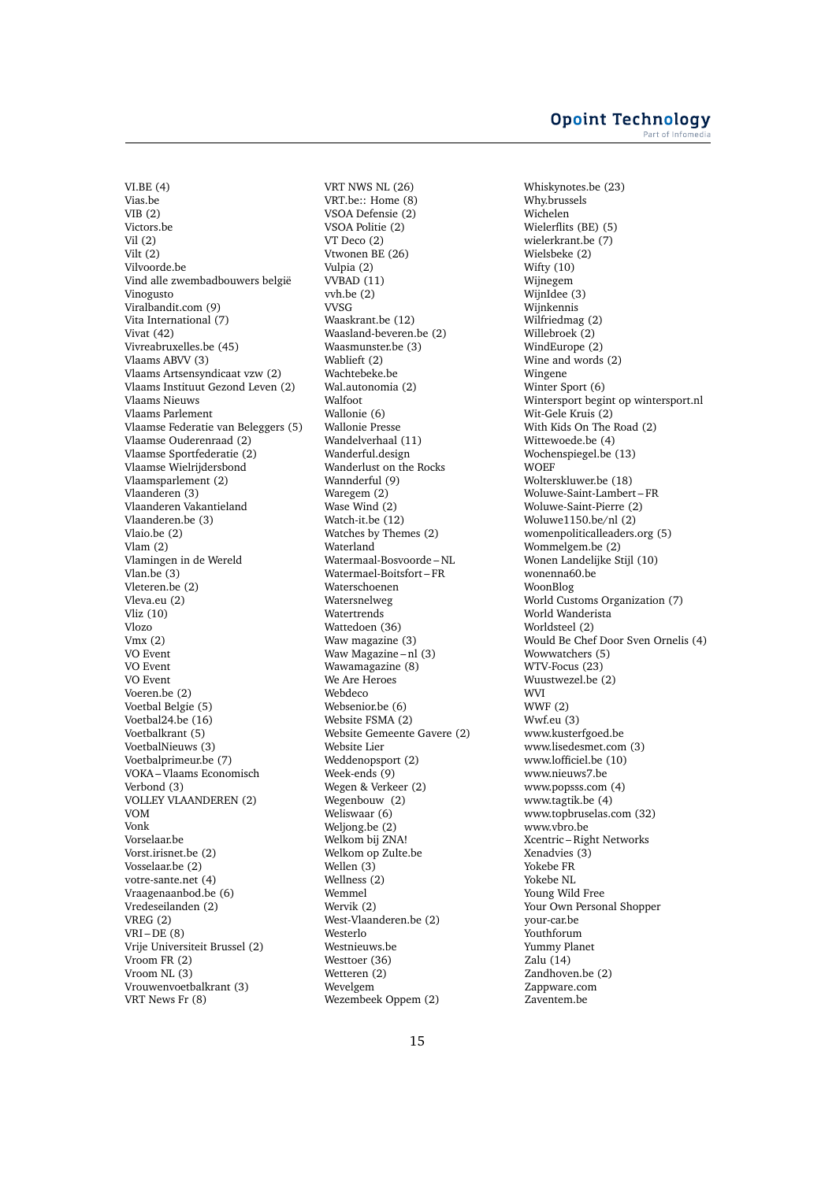VI.BE (4) Vias.be VIB (2) Victors.be Vil (2) Vilt (2) Vilvoorde.be Vind alle zwembadbouwers belgië Vinogusto Viralbandit.com (9) Vita International (7) Vivat (42) Vivreabruxelles.be (45) Vlaams ABVV (3) Vlaams Artsensyndicaat vzw (2) Vlaams Instituut Gezond Leven (2) Vlaams Nieuws Vlaams Parlement Vlaamse Federatie van Beleggers (5) Vlaamse Ouderenraad (2) Vlaamse Sportfederatie (2) Vlaamse Wielrijdersbond Vlaamsparlement (2) Vlaanderen (3) Vlaanderen Vakantieland Vlaanderen.be (3) Vlaio.be (2) Vlam (2) Vlamingen in de Wereld Vlan.be (3) Vleteren.be (2) Vleva.eu (2) Vliz (10) Vlozo Vmx (2) VO Event VO Event VO Event Voeren.be (2) Voetbal Belgie (5) Voetbal24.be (16) Voetbalkrant (5) VoetbalNieuws (3) Voetbalprimeur.be (7) VOKA – Vlaams Economisch Verbond (3) VOLLEY VLAANDEREN (2) VOM Vonk Vorselaar.be Vorst.irisnet.be (2) Vosselaar.be (2) votre-sante.net (4) Vraagenaanbod.be (6) Vredeseilanden (2) VREG (2)  $VRI - DE(8)$ Vrije Universiteit Brussel (2) Vroom FR (2) Vroom NL (3) Vrouwenvoetbalkrant (3) VRT News Fr (8)

VRT NWS NL (26) VRT.be:: Home (8) VSOA Defensie (2) VSOA Politie (2) VT Deco (2) Vtwonen BE (26) Vulpia (2) VVBAD (11) vvh.be (2) VVSG Waaskrant.be (12) Waasland-beveren.be (2) Waasmunster.be (3) Wablieft (2) Wachtebeke.be Wal.autonomia (2) Walfoot Wallonie (6) Wallonie Presse Wandelverhaal (11) Wanderful.design Wanderlust on the Rocks Wannderful (9) Waregem (2) Wase Wind (2) Watch-it.be (12) Watches by Themes (2) Waterland Watermaal-Bosvoorde – NL Watermael-Boitsfort – FR Waterschoenen Watersnelweg Watertrends Wattedoen (36) Waw magazine (3) Waw Magazine – nl (3) Wawamagazine (8) We Are Heroes Webdeco Websenior.be (6) Website FSMA (2) Website Gemeente Gavere (2) Website Lier Weddenopsport (2) Week-ends (9) Wegen & Verkeer (2) Wegenbouw (2) Weliswaar (6) Weljong.be (2) Welkom bij ZNA! Welkom op Zulte.be Wellen (3) Wellness (2) Wemmel Wervik (2) West-Vlaanderen.be (2) Westerlo Westnieuws.be Westtoer (36) Wetteren (2) Wevelgem Wezembeek Oppem (2)

Whiskynotes.be (23) Why.brussels Wichelen Wielerflits (BE) (5) wielerkrant.be (7) Wielsbeke (2) Wifty (10) Wijnegem WijnIdee (3) Wijnkennis Wilfriedmag (2) Willebroek (2) WindEurope (2) Wine and words (2) Wingene Winter Sport (6) Wintersport begint op wintersport.nl Wit-Gele Kruis (2) With Kids On The Road (2) Wittewoede.be (4) Wochenspiegel.be (13) **WOEF** Wolterskluwer.be (18) Woluwe-Saint-Lambert – FR Woluwe-Saint-Pierre (2) Woluwe1150.be/nl (2) womenpoliticalleaders.org (5) Wommelgem.be (2) Wonen Landelijke Stijl (10) wonenna60.be WoonBlog World Customs Organization (7) World Wanderista Worldsteel (2) Would Be Chef Door Sven Ornelis (4) Wowwatchers (5) WTV-Focus (23) Wuustwezel.be (2) WVI WWF (2) Wwf.eu (3) www.kusterfgoed.be www.lisedesmet.com (3) www.lofficiel.be (10) www.nieuws7.be www.popsss.com (4) www.tagtik.be (4) www.topbruselas.com (32) www.vbro.be Xcentric – Right Networks Xenadvies (3) Yokebe FR Yokebe NL Young Wild Free Your Own Personal Shopper your-car.be Youthforum Yummy Planet Zalu (14) Zandhoven.be (2) Zappware.com Zaventem.be